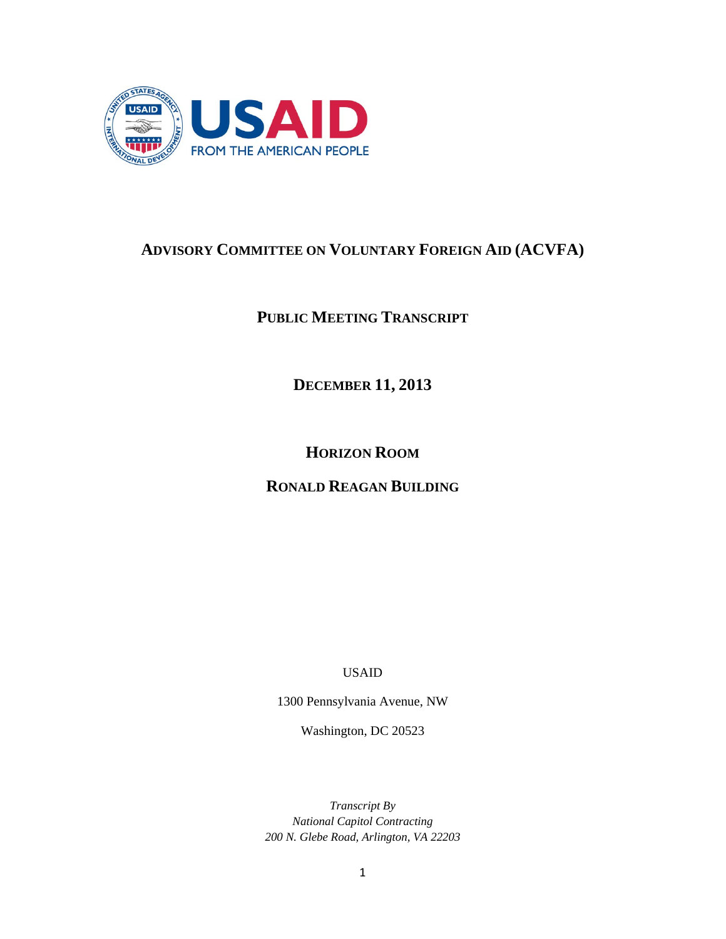

# **ADVISORY COMMITTEE ON VOLUNTARY FOREIGN AID (ACVFA)**

**PUBLIC MEETING TRANSCRIPT**

**DECEMBER 11, 2013** 

**HORIZON ROOM**

**RONALD REAGAN BUILDING**

USAID

1300 Pennsylvania Avenue, NW

Washington, DC 20523

*Transcript By National Capitol Contracting 200 N. Glebe Road, Arlington, VA 22203*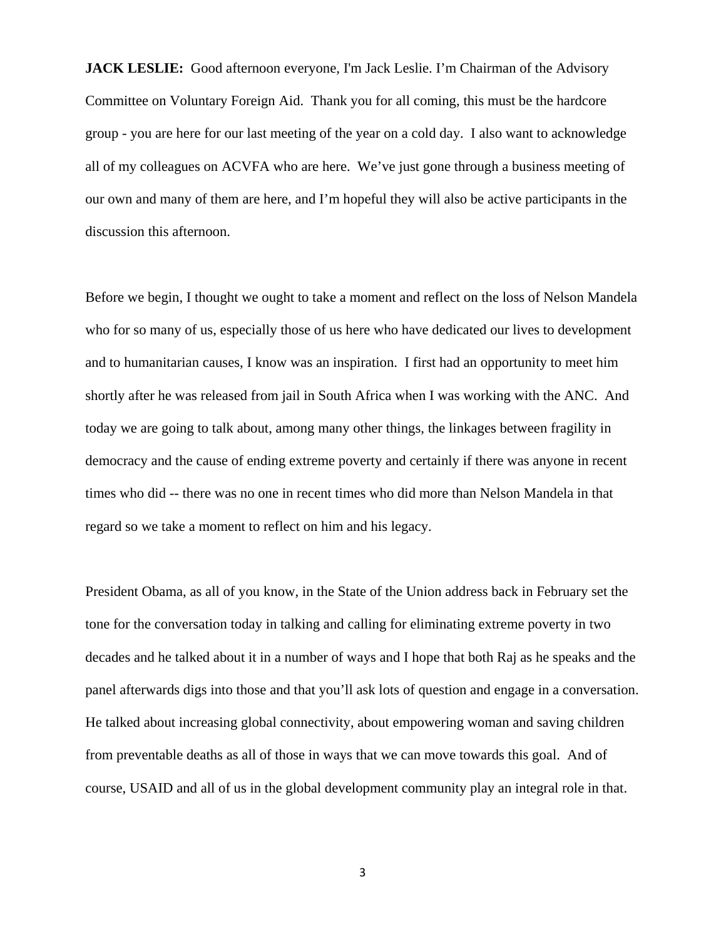**JACK LESLIE:** Good afternoon everyone, I'm Jack Leslie. I'm Chairman of the Advisory Committee on Voluntary Foreign Aid. Thank you for all coming, this must be the hardcore group - you are here for our last meeting of the year on a cold day. I also want to acknowledge all of my colleagues on ACVFA who are here. We've just gone through a business meeting of our own and many of them are here, and I'm hopeful they will also be active participants in the discussion this afternoon.

Before we begin, I thought we ought to take a moment and reflect on the loss of Nelson Mandela who for so many of us, especially those of us here who have dedicated our lives to development and to humanitarian causes, I know was an inspiration. I first had an opportunity to meet him shortly after he was released from jail in South Africa when I was working with the ANC. And today we are going to talk about, among many other things, the linkages between fragility in democracy and the cause of ending extreme poverty and certainly if there was anyone in recent times who did -- there was no one in recent times who did more than Nelson Mandela in that regard so we take a moment to reflect on him and his legacy.

President Obama, as all of you know, in the State of the Union address back in February set the tone for the conversation today in talking and calling for eliminating extreme poverty in two decades and he talked about it in a number of ways and I hope that both Raj as he speaks and the panel afterwards digs into those and that you'll ask lots of question and engage in a conversation. He talked about increasing global connectivity, about empowering woman and saving children from preventable deaths as all of those in ways that we can move towards this goal. And of course, USAID and all of us in the global development community play an integral role in that.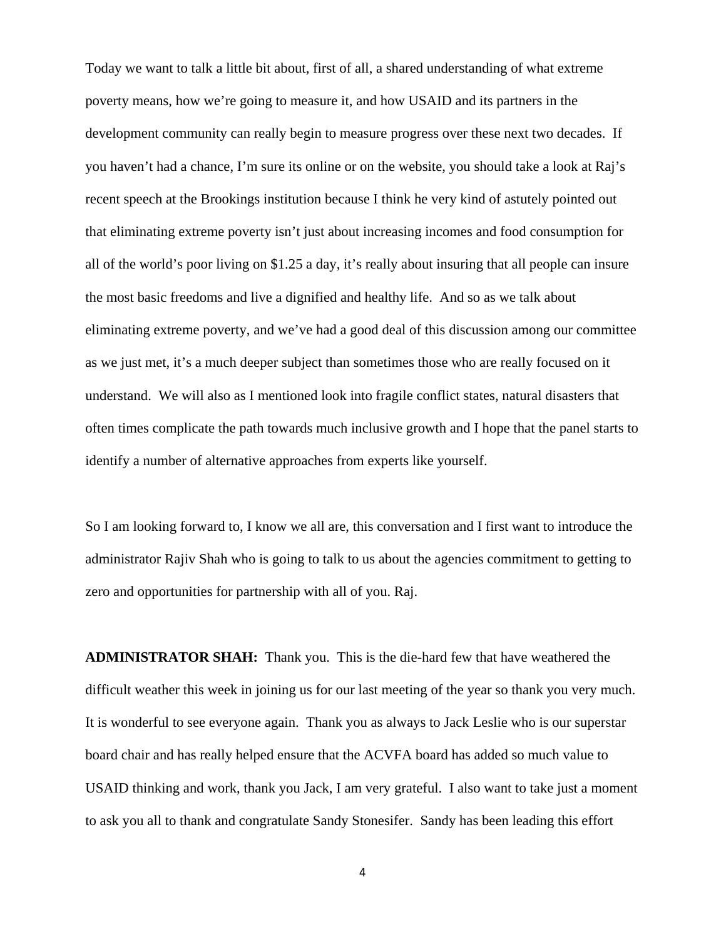Today we want to talk a little bit about, first of all, a shared understanding of what extreme poverty means, how we're going to measure it, and how USAID and its partners in the development community can really begin to measure progress over these next two decades. If you haven't had a chance, I'm sure its online or on the website, you should take a look at Raj's recent speech at the Brookings institution because I think he very kind of astutely pointed out that eliminating extreme poverty isn't just about increasing incomes and food consumption for all of the world's poor living on \$1.25 a day, it's really about insuring that all people can insure the most basic freedoms and live a dignified and healthy life. And so as we talk about eliminating extreme poverty, and we've had a good deal of this discussion among our committee as we just met, it's a much deeper subject than sometimes those who are really focused on it understand. We will also as I mentioned look into fragile conflict states, natural disasters that often times complicate the path towards much inclusive growth and I hope that the panel starts to identify a number of alternative approaches from experts like yourself.

So I am looking forward to, I know we all are, this conversation and I first want to introduce the administrator Rajiv Shah who is going to talk to us about the agencies commitment to getting to zero and opportunities for partnership with all of you. Raj.

**ADMINISTRATOR SHAH:** Thank you. This is the die-hard few that have weathered the difficult weather this week in joining us for our last meeting of the year so thank you very much. It is wonderful to see everyone again. Thank you as always to Jack Leslie who is our superstar board chair and has really helped ensure that the ACVFA board has added so much value to USAID thinking and work, thank you Jack, I am very grateful. I also want to take just a moment to ask you all to thank and congratulate Sandy Stonesifer. Sandy has been leading this effort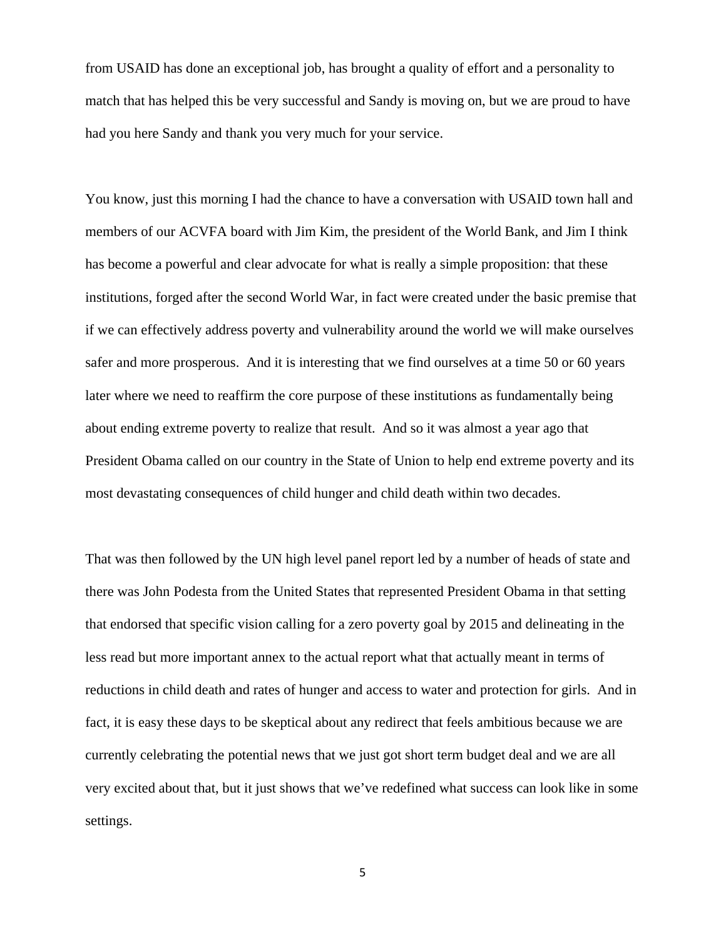from USAID has done an exceptional job, has brought a quality of effort and a personality to match that has helped this be very successful and Sandy is moving on, but we are proud to have had you here Sandy and thank you very much for your service.

You know, just this morning I had the chance to have a conversation with USAID town hall and members of our ACVFA board with Jim Kim, the president of the World Bank, and Jim I think has become a powerful and clear advocate for what is really a simple proposition: that these institutions, forged after the second World War, in fact were created under the basic premise that if we can effectively address poverty and vulnerability around the world we will make ourselves safer and more prosperous. And it is interesting that we find ourselves at a time 50 or 60 years later where we need to reaffirm the core purpose of these institutions as fundamentally being about ending extreme poverty to realize that result. And so it was almost a year ago that President Obama called on our country in the State of Union to help end extreme poverty and its most devastating consequences of child hunger and child death within two decades.

That was then followed by the UN high level panel report led by a number of heads of state and there was John Podesta from the United States that represented President Obama in that setting that endorsed that specific vision calling for a zero poverty goal by 2015 and delineating in the less read but more important annex to the actual report what that actually meant in terms of reductions in child death and rates of hunger and access to water and protection for girls. And in fact, it is easy these days to be skeptical about any redirect that feels ambitious because we are currently celebrating the potential news that we just got short term budget deal and we are all very excited about that, but it just shows that we've redefined what success can look like in some settings.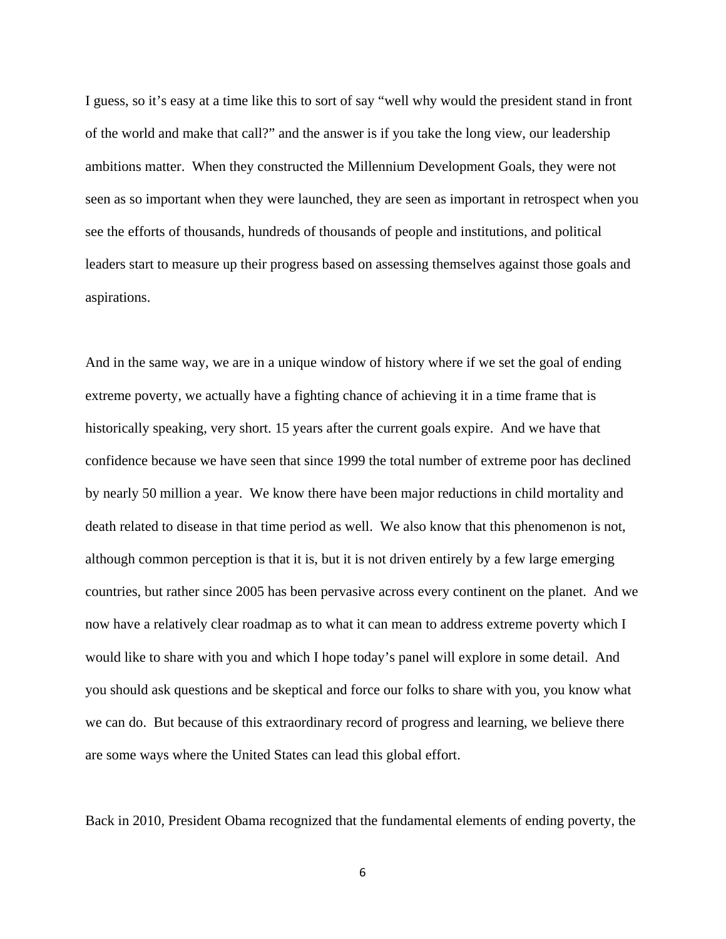I guess, so it's easy at a time like this to sort of say "well why would the president stand in front of the world and make that call?" and the answer is if you take the long view, our leadership ambitions matter. When they constructed the Millennium Development Goals, they were not seen as so important when they were launched, they are seen as important in retrospect when you see the efforts of thousands, hundreds of thousands of people and institutions, and political leaders start to measure up their progress based on assessing themselves against those goals and aspirations.

And in the same way, we are in a unique window of history where if we set the goal of ending extreme poverty, we actually have a fighting chance of achieving it in a time frame that is historically speaking, very short. 15 years after the current goals expire. And we have that confidence because we have seen that since 1999 the total number of extreme poor has declined by nearly 50 million a year. We know there have been major reductions in child mortality and death related to disease in that time period as well. We also know that this phenomenon is not, although common perception is that it is, but it is not driven entirely by a few large emerging countries, but rather since 2005 has been pervasive across every continent on the planet. And we now have a relatively clear roadmap as to what it can mean to address extreme poverty which I would like to share with you and which I hope today's panel will explore in some detail. And you should ask questions and be skeptical and force our folks to share with you, you know what we can do. But because of this extraordinary record of progress and learning, we believe there are some ways where the United States can lead this global effort.

Back in 2010, President Obama recognized that the fundamental elements of ending poverty, the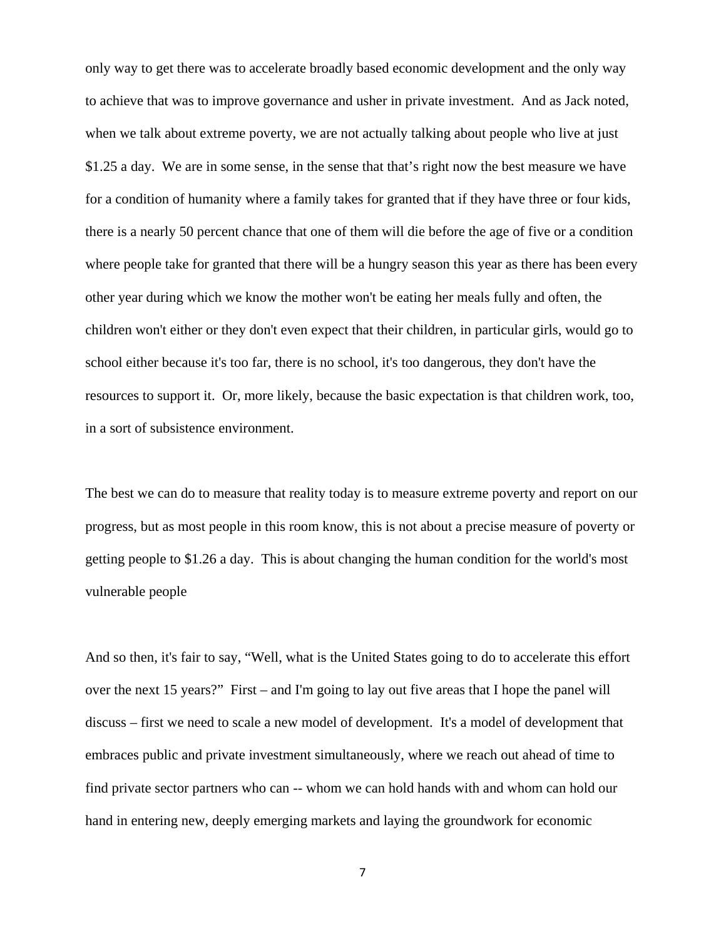only way to get there was to accelerate broadly based economic development and the only way to achieve that was to improve governance and usher in private investment. And as Jack noted, when we talk about extreme poverty, we are not actually talking about people who live at just \$1.25 a day. We are in some sense, in the sense that that's right now the best measure we have for a condition of humanity where a family takes for granted that if they have three or four kids, there is a nearly 50 percent chance that one of them will die before the age of five or a condition where people take for granted that there will be a hungry season this year as there has been every other year during which we know the mother won't be eating her meals fully and often, the children won't either or they don't even expect that their children, in particular girls, would go to school either because it's too far, there is no school, it's too dangerous, they don't have the resources to support it. Or, more likely, because the basic expectation is that children work, too, in a sort of subsistence environment.

The best we can do to measure that reality today is to measure extreme poverty and report on our progress, but as most people in this room know, this is not about a precise measure of poverty or getting people to \$1.26 a day. This is about changing the human condition for the world's most vulnerable people

And so then, it's fair to say, "Well, what is the United States going to do to accelerate this effort over the next 15 years?" First – and I'm going to lay out five areas that I hope the panel will discuss – first we need to scale a new model of development. It's a model of development that embraces public and private investment simultaneously, where we reach out ahead of time to find private sector partners who can -- whom we can hold hands with and whom can hold our hand in entering new, deeply emerging markets and laying the groundwork for economic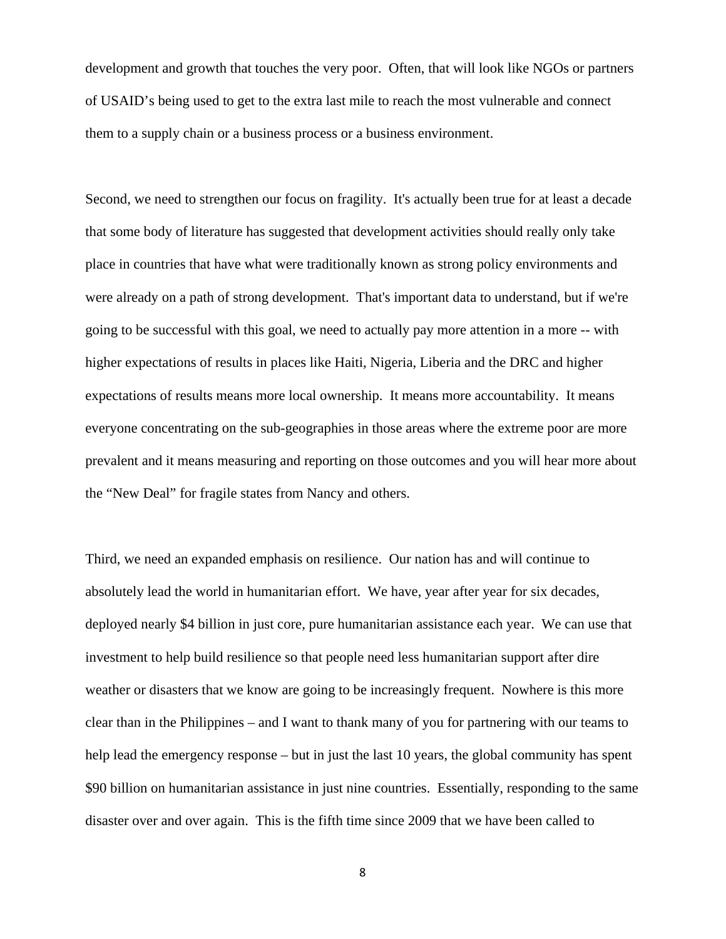development and growth that touches the very poor. Often, that will look like NGOs or partners of USAID's being used to get to the extra last mile to reach the most vulnerable and connect them to a supply chain or a business process or a business environment.

Second, we need to strengthen our focus on fragility. It's actually been true for at least a decade that some body of literature has suggested that development activities should really only take place in countries that have what were traditionally known as strong policy environments and were already on a path of strong development. That's important data to understand, but if we're going to be successful with this goal, we need to actually pay more attention in a more -- with higher expectations of results in places like Haiti, Nigeria, Liberia and the DRC and higher expectations of results means more local ownership. It means more accountability. It means everyone concentrating on the sub-geographies in those areas where the extreme poor are more prevalent and it means measuring and reporting on those outcomes and you will hear more about the "New Deal" for fragile states from Nancy and others.

Third, we need an expanded emphasis on resilience. Our nation has and will continue to absolutely lead the world in humanitarian effort. We have, year after year for six decades, deployed nearly \$4 billion in just core, pure humanitarian assistance each year. We can use that investment to help build resilience so that people need less humanitarian support after dire weather or disasters that we know are going to be increasingly frequent. Nowhere is this more clear than in the Philippines – and I want to thank many of you for partnering with our teams to help lead the emergency response – but in just the last 10 years, the global community has spent \$90 billion on humanitarian assistance in just nine countries. Essentially, responding to the same disaster over and over again. This is the fifth time since 2009 that we have been called to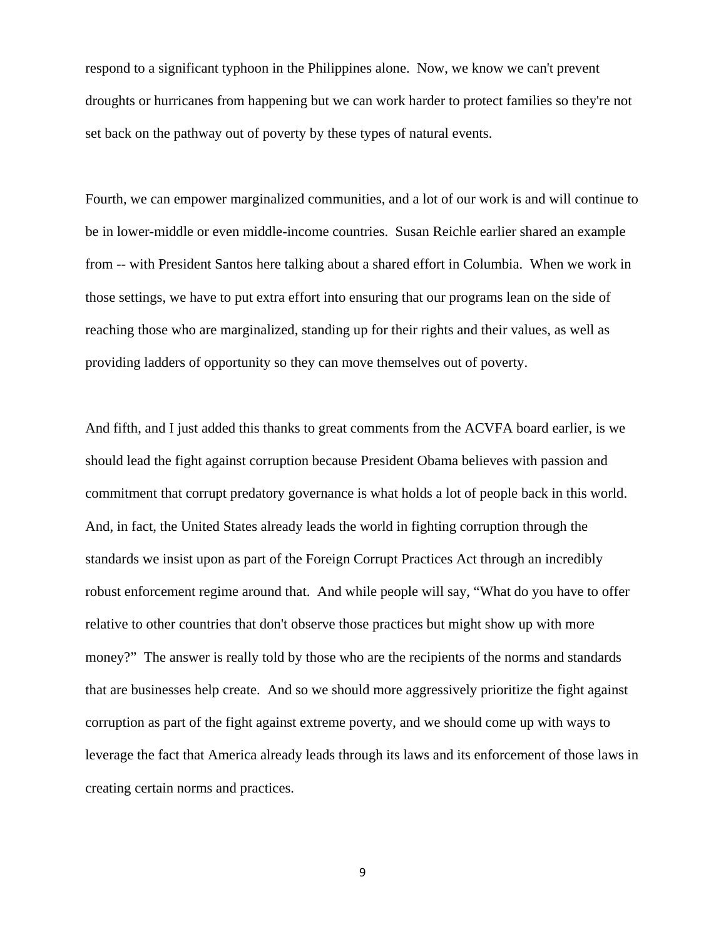respond to a significant typhoon in the Philippines alone. Now, we know we can't prevent droughts or hurricanes from happening but we can work harder to protect families so they're not set back on the pathway out of poverty by these types of natural events.

Fourth, we can empower marginalized communities, and a lot of our work is and will continue to be in lower-middle or even middle-income countries. Susan Reichle earlier shared an example from -- with President Santos here talking about a shared effort in Columbia. When we work in those settings, we have to put extra effort into ensuring that our programs lean on the side of reaching those who are marginalized, standing up for their rights and their values, as well as providing ladders of opportunity so they can move themselves out of poverty.

And fifth, and I just added this thanks to great comments from the ACVFA board earlier, is we should lead the fight against corruption because President Obama believes with passion and commitment that corrupt predatory governance is what holds a lot of people back in this world. And, in fact, the United States already leads the world in fighting corruption through the standards we insist upon as part of the Foreign Corrupt Practices Act through an incredibly robust enforcement regime around that. And while people will say, "What do you have to offer relative to other countries that don't observe those practices but might show up with more money?" The answer is really told by those who are the recipients of the norms and standards that are businesses help create. And so we should more aggressively prioritize the fight against corruption as part of the fight against extreme poverty, and we should come up with ways to leverage the fact that America already leads through its laws and its enforcement of those laws in creating certain norms and practices.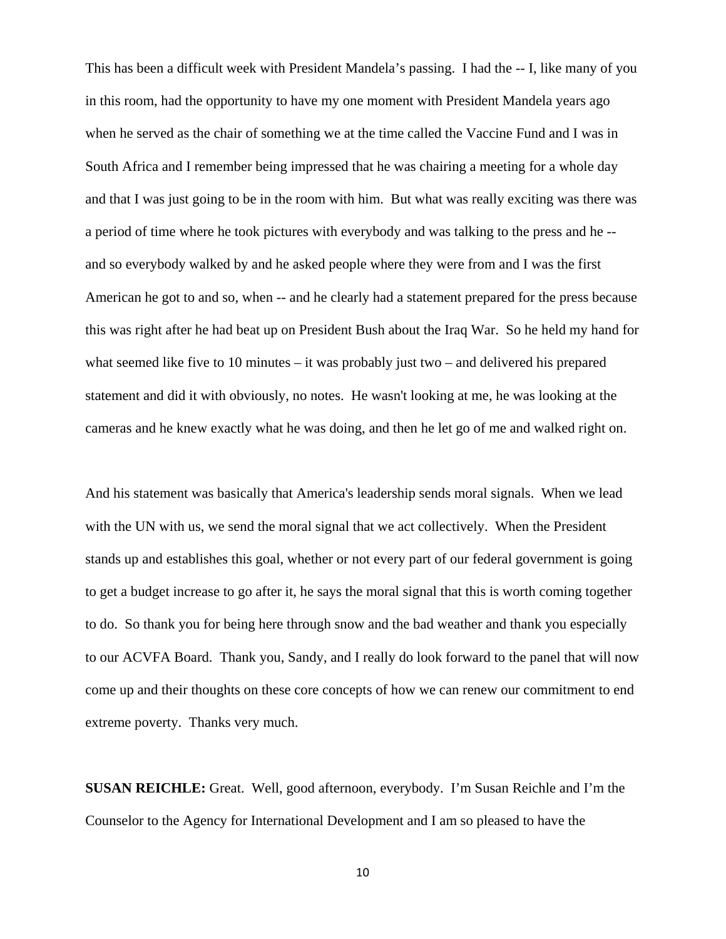This has been a difficult week with President Mandela's passing. I had the -- I, like many of you in this room, had the opportunity to have my one moment with President Mandela years ago when he served as the chair of something we at the time called the Vaccine Fund and I was in South Africa and I remember being impressed that he was chairing a meeting for a whole day and that I was just going to be in the room with him. But what was really exciting was there was a period of time where he took pictures with everybody and was talking to the press and he - and so everybody walked by and he asked people where they were from and I was the first American he got to and so, when -- and he clearly had a statement prepared for the press because this was right after he had beat up on President Bush about the Iraq War. So he held my hand for what seemed like five to 10 minutes – it was probably just two – and delivered his prepared statement and did it with obviously, no notes. He wasn't looking at me, he was looking at the cameras and he knew exactly what he was doing, and then he let go of me and walked right on.

And his statement was basically that America's leadership sends moral signals. When we lead with the UN with us, we send the moral signal that we act collectively. When the President stands up and establishes this goal, whether or not every part of our federal government is going to get a budget increase to go after it, he says the moral signal that this is worth coming together to do. So thank you for being here through snow and the bad weather and thank you especially to our ACVFA Board. Thank you, Sandy, and I really do look forward to the panel that will now come up and their thoughts on these core concepts of how we can renew our commitment to end extreme poverty. Thanks very much.

**SUSAN REICHLE:** Great. Well, good afternoon, everybody. I'm Susan Reichle and I'm the Counselor to the Agency for International Development and I am so pleased to have the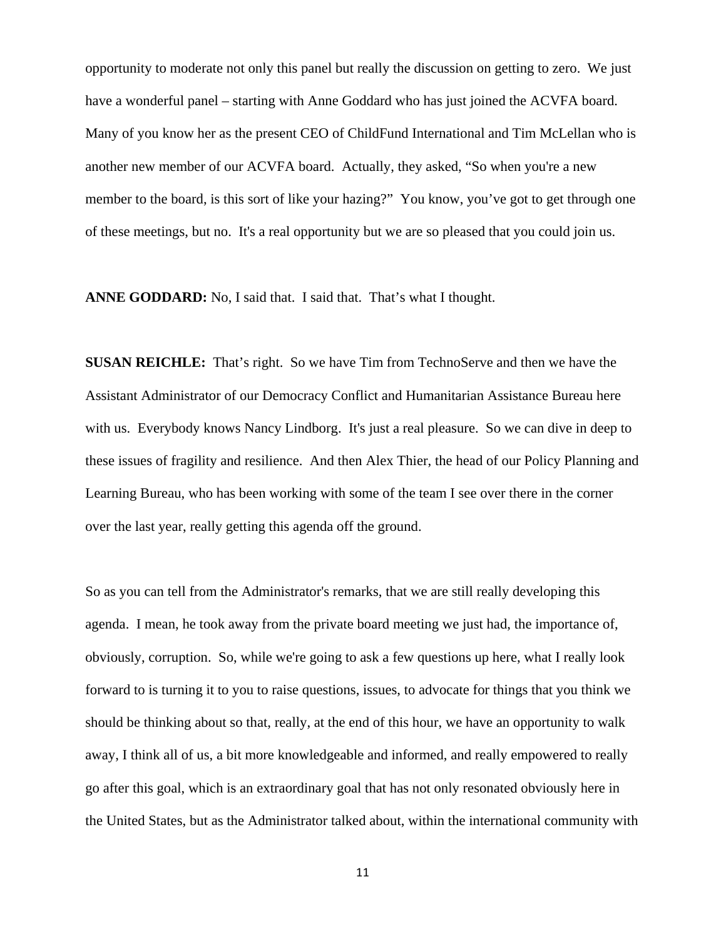opportunity to moderate not only this panel but really the discussion on getting to zero. We just have a wonderful panel – starting with Anne Goddard who has just joined the ACVFA board. Many of you know her as the present CEO of ChildFund International and Tim McLellan who is another new member of our ACVFA board. Actually, they asked, "So when you're a new member to the board, is this sort of like your hazing?" You know, you've got to get through one of these meetings, but no. It's a real opportunity but we are so pleased that you could join us.

**ANNE GODDARD:** No, I said that. I said that. That's what I thought.

**SUSAN REICHLE:** That's right. So we have Tim from TechnoServe and then we have the Assistant Administrator of our Democracy Conflict and Humanitarian Assistance Bureau here with us. Everybody knows Nancy Lindborg. It's just a real pleasure. So we can dive in deep to these issues of fragility and resilience. And then Alex Thier, the head of our Policy Planning and Learning Bureau, who has been working with some of the team I see over there in the corner over the last year, really getting this agenda off the ground.

So as you can tell from the Administrator's remarks, that we are still really developing this agenda. I mean, he took away from the private board meeting we just had, the importance of, obviously, corruption. So, while we're going to ask a few questions up here, what I really look forward to is turning it to you to raise questions, issues, to advocate for things that you think we should be thinking about so that, really, at the end of this hour, we have an opportunity to walk away, I think all of us, a bit more knowledgeable and informed, and really empowered to really go after this goal, which is an extraordinary goal that has not only resonated obviously here in the United States, but as the Administrator talked about, within the international community with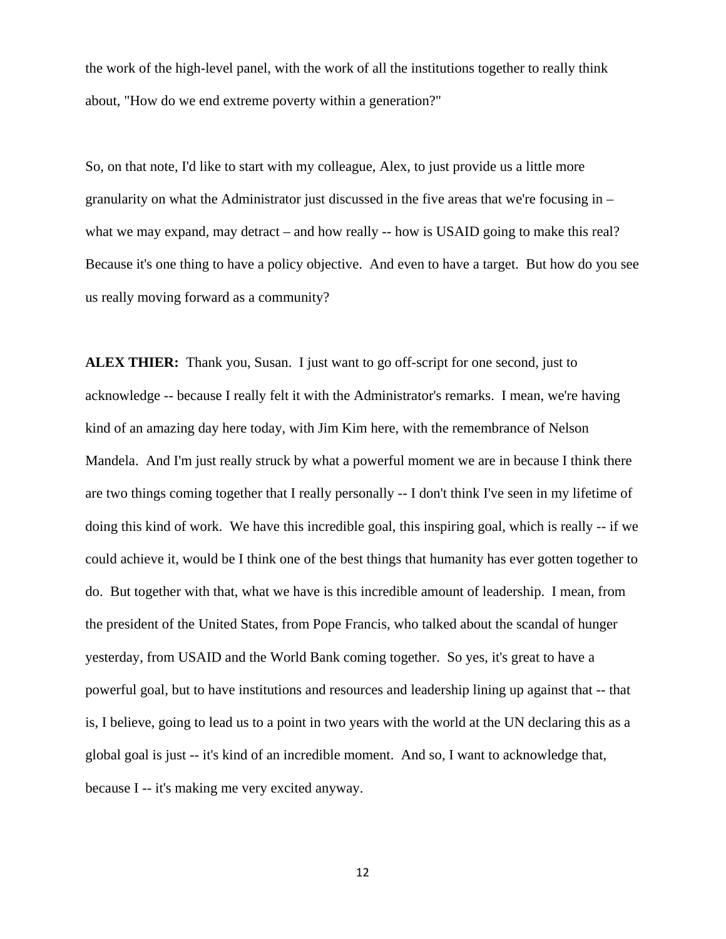the work of the high-level panel, with the work of all the institutions together to really think about, "How do we end extreme poverty within a generation?"

So, on that note, I'd like to start with my colleague, Alex, to just provide us a little more granularity on what the Administrator just discussed in the five areas that we're focusing in – what we may expand, may detract – and how really -- how is USAID going to make this real? Because it's one thing to have a policy objective. And even to have a target. But how do you see us really moving forward as a community?

**ALEX THIER:** Thank you, Susan. I just want to go off-script for one second, just to acknowledge -- because I really felt it with the Administrator's remarks. I mean, we're having kind of an amazing day here today, with Jim Kim here, with the remembrance of Nelson Mandela. And I'm just really struck by what a powerful moment we are in because I think there are two things coming together that I really personally -- I don't think I've seen in my lifetime of doing this kind of work. We have this incredible goal, this inspiring goal, which is really -- if we could achieve it, would be I think one of the best things that humanity has ever gotten together to do. But together with that, what we have is this incredible amount of leadership. I mean, from the president of the United States, from Pope Francis, who talked about the scandal of hunger yesterday, from USAID and the World Bank coming together. So yes, it's great to have a powerful goal, but to have institutions and resources and leadership lining up against that -- that is, I believe, going to lead us to a point in two years with the world at the UN declaring this as a global goal is just -- it's kind of an incredible moment. And so, I want to acknowledge that, because I -- it's making me very excited anyway.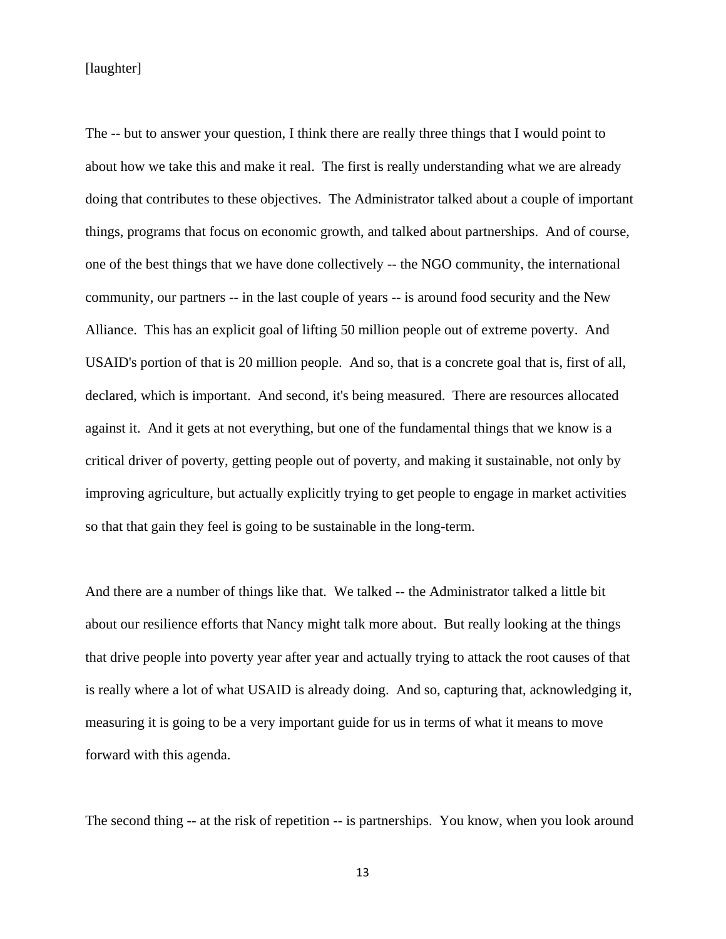[laughter]

The -- but to answer your question, I think there are really three things that I would point to about how we take this and make it real. The first is really understanding what we are already doing that contributes to these objectives. The Administrator talked about a couple of important things, programs that focus on economic growth, and talked about partnerships. And of course, one of the best things that we have done collectively -- the NGO community, the international community, our partners -- in the last couple of years -- is around food security and the New Alliance. This has an explicit goal of lifting 50 million people out of extreme poverty. And USAID's portion of that is 20 million people. And so, that is a concrete goal that is, first of all, declared, which is important. And second, it's being measured. There are resources allocated against it. And it gets at not everything, but one of the fundamental things that we know is a critical driver of poverty, getting people out of poverty, and making it sustainable, not only by improving agriculture, but actually explicitly trying to get people to engage in market activities so that that gain they feel is going to be sustainable in the long-term.

And there are a number of things like that. We talked -- the Administrator talked a little bit about our resilience efforts that Nancy might talk more about. But really looking at the things that drive people into poverty year after year and actually trying to attack the root causes of that is really where a lot of what USAID is already doing. And so, capturing that, acknowledging it, measuring it is going to be a very important guide for us in terms of what it means to move forward with this agenda.

The second thing -- at the risk of repetition -- is partnerships. You know, when you look around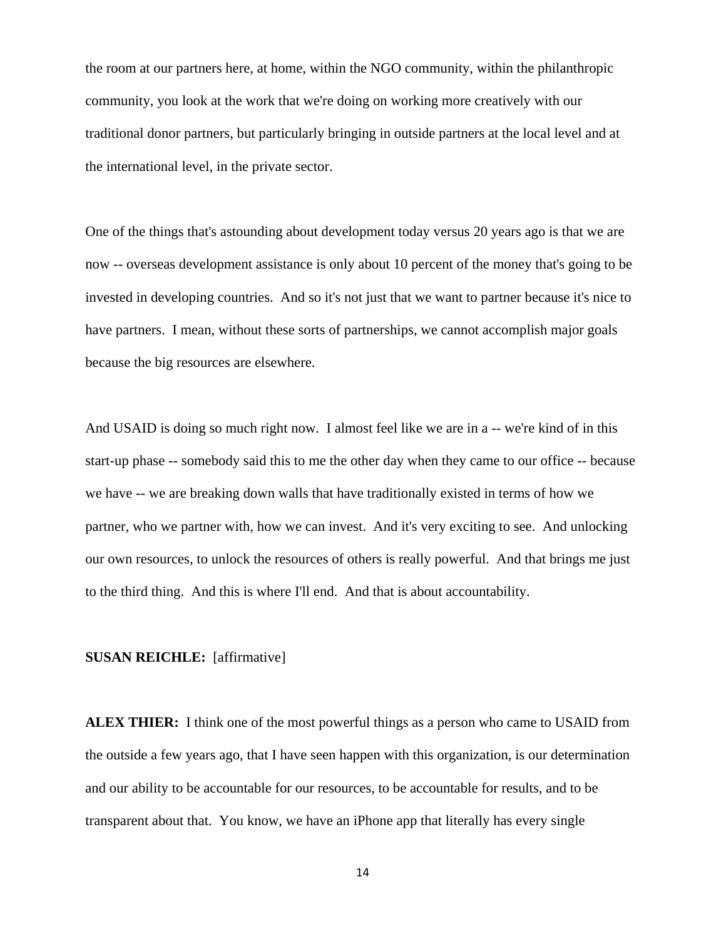the room at our partners here, at home, within the NGO community, within the philanthropic community, you look at the work that we're doing on working more creatively with our traditional donor partners, but particularly bringing in outside partners at the local level and at the international level, in the private sector.

One of the things that's astounding about development today versus 20 years ago is that we are now -- overseas development assistance is only about 10 percent of the money that's going to be invested in developing countries. And so it's not just that we want to partner because it's nice to have partners. I mean, without these sorts of partnerships, we cannot accomplish major goals because the big resources are elsewhere.

And USAID is doing so much right now. I almost feel like we are in a -- we're kind of in this start-up phase -- somebody said this to me the other day when they came to our office -- because we have -- we are breaking down walls that have traditionally existed in terms of how we partner, who we partner with, how we can invest. And it's very exciting to see. And unlocking our own resources, to unlock the resources of others is really powerful. And that brings me just to the third thing. And this is where I'll end. And that is about accountability.

#### **SUSAN REICHLE:** [affirmative]

**ALEX THIER:** I think one of the most powerful things as a person who came to USAID from the outside a few years ago, that I have seen happen with this organization, is our determination and our ability to be accountable for our resources, to be accountable for results, and to be transparent about that. You know, we have an iPhone app that literally has every single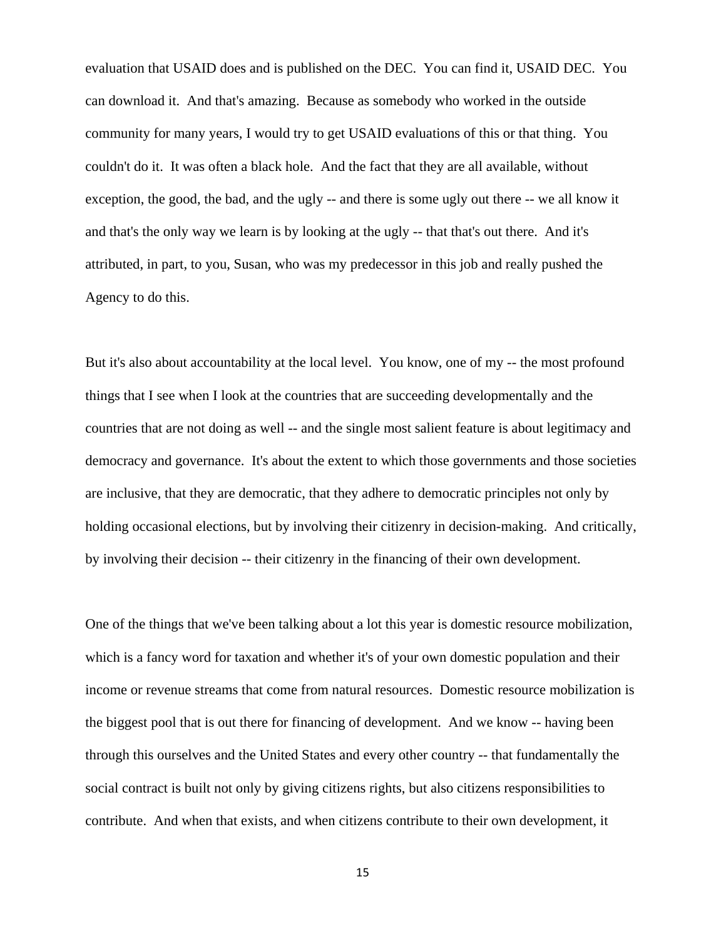evaluation that USAID does and is published on the DEC. You can find it, USAID DEC. You can download it. And that's amazing. Because as somebody who worked in the outside community for many years, I would try to get USAID evaluations of this or that thing. You couldn't do it. It was often a black hole. And the fact that they are all available, without exception, the good, the bad, and the ugly -- and there is some ugly out there -- we all know it and that's the only way we learn is by looking at the ugly -- that that's out there. And it's attributed, in part, to you, Susan, who was my predecessor in this job and really pushed the Agency to do this.

But it's also about accountability at the local level. You know, one of my -- the most profound things that I see when I look at the countries that are succeeding developmentally and the countries that are not doing as well -- and the single most salient feature is about legitimacy and democracy and governance. It's about the extent to which those governments and those societies are inclusive, that they are democratic, that they adhere to democratic principles not only by holding occasional elections, but by involving their citizenry in decision-making. And critically, by involving their decision -- their citizenry in the financing of their own development.

One of the things that we've been talking about a lot this year is domestic resource mobilization, which is a fancy word for taxation and whether it's of your own domestic population and their income or revenue streams that come from natural resources. Domestic resource mobilization is the biggest pool that is out there for financing of development. And we know -- having been through this ourselves and the United States and every other country -- that fundamentally the social contract is built not only by giving citizens rights, but also citizens responsibilities to contribute. And when that exists, and when citizens contribute to their own development, it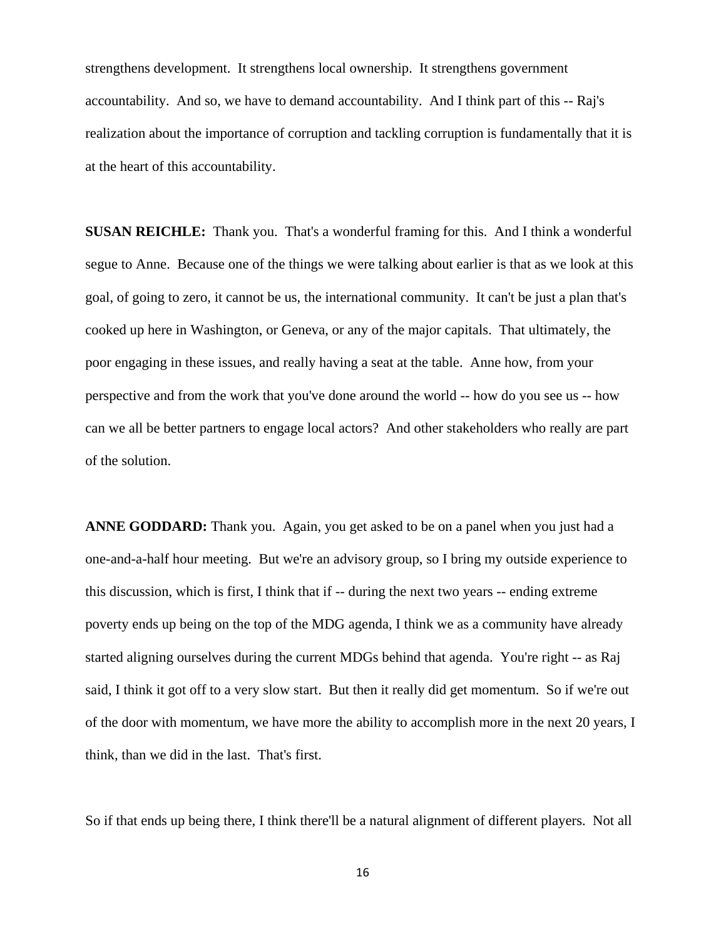strengthens development. It strengthens local ownership. It strengthens government accountability. And so, we have to demand accountability. And I think part of this -- Raj's realization about the importance of corruption and tackling corruption is fundamentally that it is at the heart of this accountability.

**SUSAN REICHLE:** Thank you. That's a wonderful framing for this. And I think a wonderful segue to Anne. Because one of the things we were talking about earlier is that as we look at this goal, of going to zero, it cannot be us, the international community. It can't be just a plan that's cooked up here in Washington, or Geneva, or any of the major capitals. That ultimately, the poor engaging in these issues, and really having a seat at the table. Anne how, from your perspective and from the work that you've done around the world -- how do you see us -- how can we all be better partners to engage local actors? And other stakeholders who really are part of the solution.

**ANNE GODDARD:** Thank you. Again, you get asked to be on a panel when you just had a one-and-a-half hour meeting. But we're an advisory group, so I bring my outside experience to this discussion, which is first, I think that if -- during the next two years -- ending extreme poverty ends up being on the top of the MDG agenda, I think we as a community have already started aligning ourselves during the current MDGs behind that agenda. You're right -- as Raj said, I think it got off to a very slow start. But then it really did get momentum. So if we're out of the door with momentum, we have more the ability to accomplish more in the next 20 years, I think, than we did in the last. That's first.

So if that ends up being there, I think there'll be a natural alignment of different players. Not all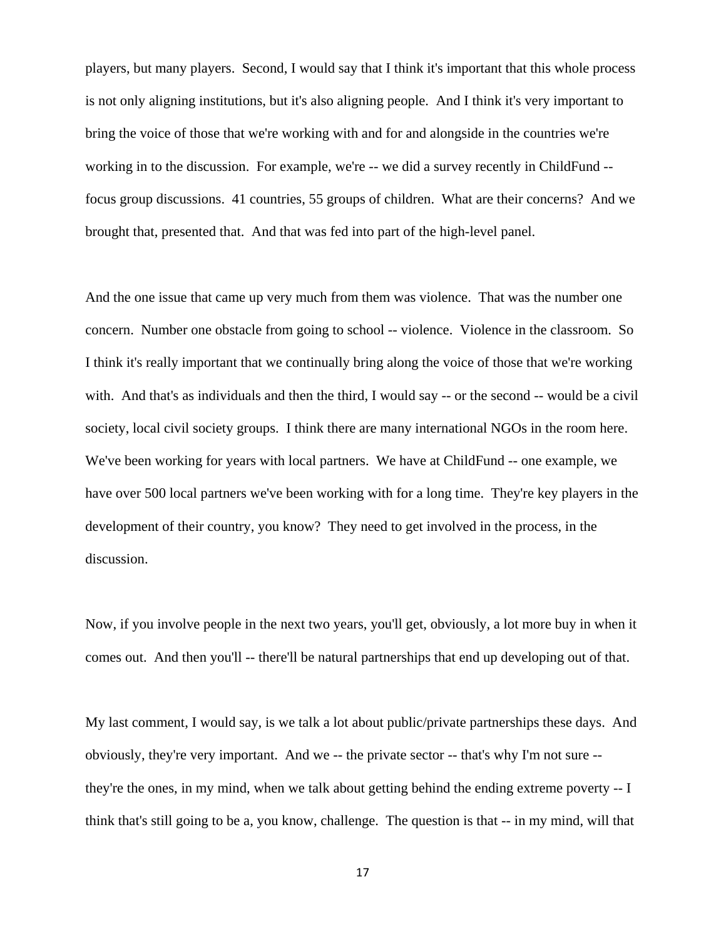players, but many players. Second, I would say that I think it's important that this whole process is not only aligning institutions, but it's also aligning people. And I think it's very important to bring the voice of those that we're working with and for and alongside in the countries we're working in to the discussion. For example, we're -- we did a survey recently in ChildFund - focus group discussions. 41 countries, 55 groups of children. What are their concerns? And we brought that, presented that. And that was fed into part of the high-level panel.

And the one issue that came up very much from them was violence. That was the number one concern. Number one obstacle from going to school -- violence. Violence in the classroom. So I think it's really important that we continually bring along the voice of those that we're working with. And that's as individuals and then the third, I would say -- or the second -- would be a civil society, local civil society groups. I think there are many international NGOs in the room here. We've been working for years with local partners. We have at ChildFund -- one example, we have over 500 local partners we've been working with for a long time. They're key players in the development of their country, you know? They need to get involved in the process, in the discussion.

Now, if you involve people in the next two years, you'll get, obviously, a lot more buy in when it comes out. And then you'll -- there'll be natural partnerships that end up developing out of that.

My last comment, I would say, is we talk a lot about public/private partnerships these days. And obviously, they're very important. And we -- the private sector -- that's why I'm not sure - they're the ones, in my mind, when we talk about getting behind the ending extreme poverty -- I think that's still going to be a, you know, challenge. The question is that -- in my mind, will that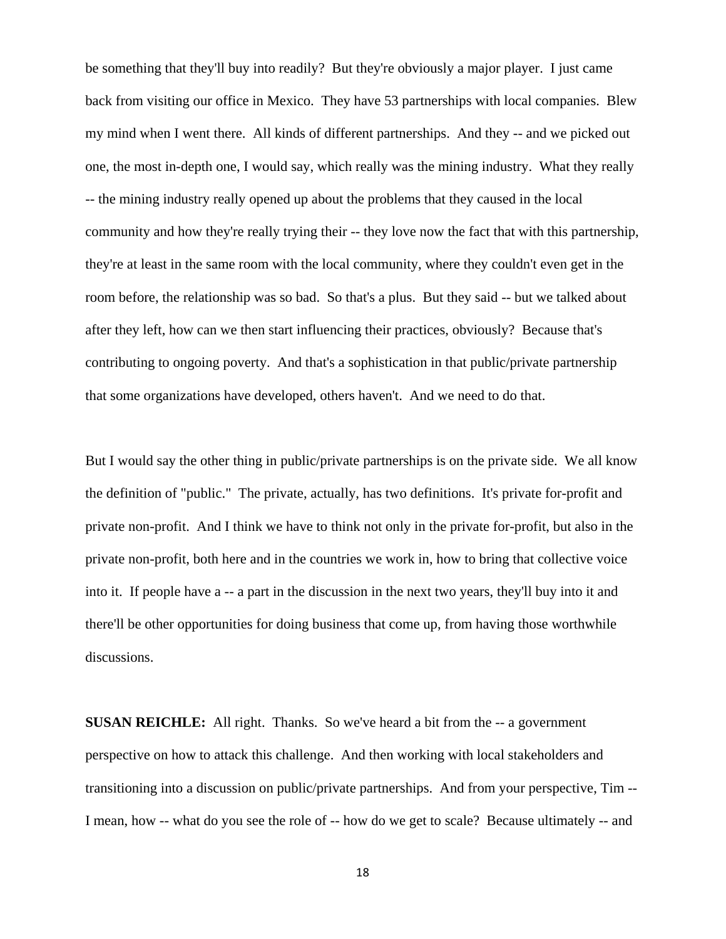be something that they'll buy into readily? But they're obviously a major player. I just came back from visiting our office in Mexico. They have 53 partnerships with local companies. Blew my mind when I went there. All kinds of different partnerships. And they -- and we picked out one, the most in-depth one, I would say, which really was the mining industry. What they really -- the mining industry really opened up about the problems that they caused in the local community and how they're really trying their -- they love now the fact that with this partnership, they're at least in the same room with the local community, where they couldn't even get in the room before, the relationship was so bad. So that's a plus. But they said -- but we talked about after they left, how can we then start influencing their practices, obviously? Because that's contributing to ongoing poverty. And that's a sophistication in that public/private partnership that some organizations have developed, others haven't. And we need to do that.

But I would say the other thing in public/private partnerships is on the private side. We all know the definition of "public." The private, actually, has two definitions. It's private for-profit and private non-profit. And I think we have to think not only in the private for-profit, but also in the private non-profit, both here and in the countries we work in, how to bring that collective voice into it. If people have a -- a part in the discussion in the next two years, they'll buy into it and there'll be other opportunities for doing business that come up, from having those worthwhile discussions.

**SUSAN REICHLE:** All right. Thanks. So we've heard a bit from the -- a government perspective on how to attack this challenge. And then working with local stakeholders and transitioning into a discussion on public/private partnerships. And from your perspective, Tim -- I mean, how -- what do you see the role of -- how do we get to scale? Because ultimately -- and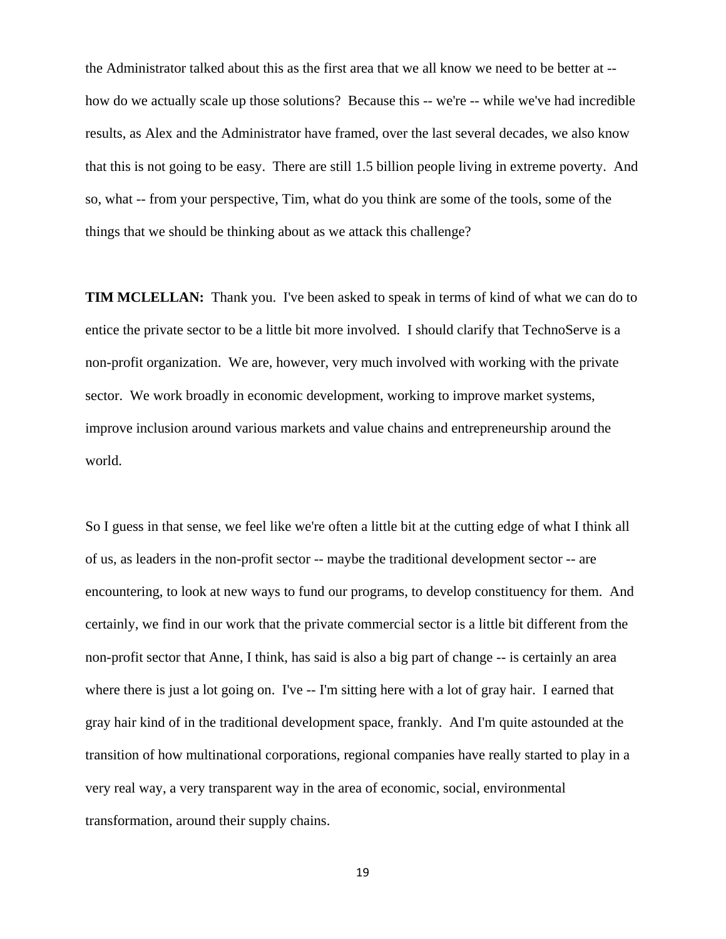the Administrator talked about this as the first area that we all know we need to be better at - how do we actually scale up those solutions? Because this -- we're -- while we've had incredible results, as Alex and the Administrator have framed, over the last several decades, we also know that this is not going to be easy. There are still 1.5 billion people living in extreme poverty. And so, what -- from your perspective, Tim, what do you think are some of the tools, some of the things that we should be thinking about as we attack this challenge?

**TIM MCLELLAN:** Thank you. I've been asked to speak in terms of kind of what we can do to entice the private sector to be a little bit more involved. I should clarify that TechnoServe is a non-profit organization. We are, however, very much involved with working with the private sector. We work broadly in economic development, working to improve market systems, improve inclusion around various markets and value chains and entrepreneurship around the world.

So I guess in that sense, we feel like we're often a little bit at the cutting edge of what I think all of us, as leaders in the non-profit sector -- maybe the traditional development sector -- are encountering, to look at new ways to fund our programs, to develop constituency for them. And certainly, we find in our work that the private commercial sector is a little bit different from the non-profit sector that Anne, I think, has said is also a big part of change -- is certainly an area where there is just a lot going on. I've -- I'm sitting here with a lot of gray hair. I earned that gray hair kind of in the traditional development space, frankly. And I'm quite astounded at the transition of how multinational corporations, regional companies have really started to play in a very real way, a very transparent way in the area of economic, social, environmental transformation, around their supply chains.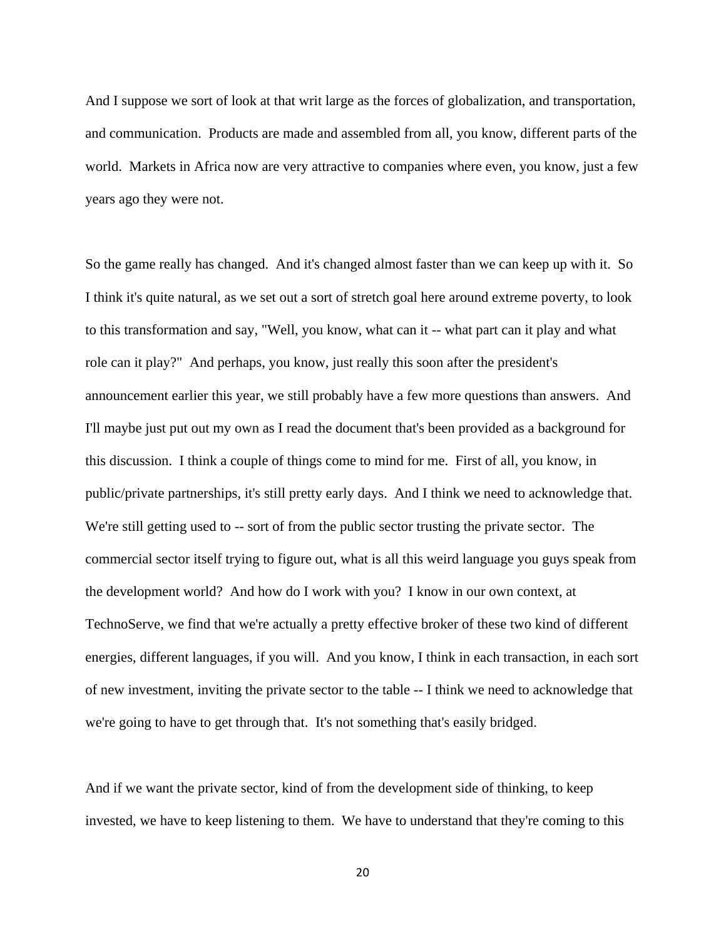And I suppose we sort of look at that writ large as the forces of globalization, and transportation, and communication. Products are made and assembled from all, you know, different parts of the world. Markets in Africa now are very attractive to companies where even, you know, just a few years ago they were not.

So the game really has changed. And it's changed almost faster than we can keep up with it. So I think it's quite natural, as we set out a sort of stretch goal here around extreme poverty, to look to this transformation and say, "Well, you know, what can it -- what part can it play and what role can it play?" And perhaps, you know, just really this soon after the president's announcement earlier this year, we still probably have a few more questions than answers. And I'll maybe just put out my own as I read the document that's been provided as a background for this discussion. I think a couple of things come to mind for me. First of all, you know, in public/private partnerships, it's still pretty early days. And I think we need to acknowledge that. We're still getting used to  $-$  sort of from the public sector trusting the private sector. The commercial sector itself trying to figure out, what is all this weird language you guys speak from the development world? And how do I work with you? I know in our own context, at TechnoServe, we find that we're actually a pretty effective broker of these two kind of different energies, different languages, if you will. And you know, I think in each transaction, in each sort of new investment, inviting the private sector to the table -- I think we need to acknowledge that we're going to have to get through that. It's not something that's easily bridged.

And if we want the private sector, kind of from the development side of thinking, to keep invested, we have to keep listening to them. We have to understand that they're coming to this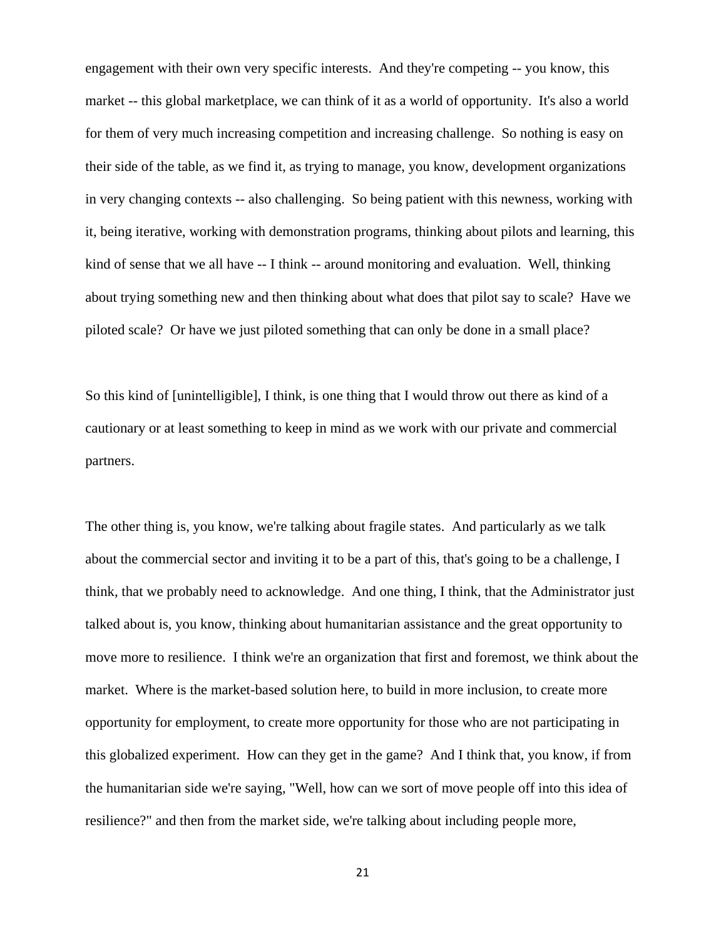engagement with their own very specific interests. And they're competing -- you know, this market -- this global marketplace, we can think of it as a world of opportunity. It's also a world for them of very much increasing competition and increasing challenge. So nothing is easy on their side of the table, as we find it, as trying to manage, you know, development organizations in very changing contexts -- also challenging. So being patient with this newness, working with it, being iterative, working with demonstration programs, thinking about pilots and learning, this kind of sense that we all have -- I think -- around monitoring and evaluation. Well, thinking about trying something new and then thinking about what does that pilot say to scale? Have we piloted scale? Or have we just piloted something that can only be done in a small place?

So this kind of [unintelligible], I think, is one thing that I would throw out there as kind of a cautionary or at least something to keep in mind as we work with our private and commercial partners.

The other thing is, you know, we're talking about fragile states. And particularly as we talk about the commercial sector and inviting it to be a part of this, that's going to be a challenge, I think, that we probably need to acknowledge. And one thing, I think, that the Administrator just talked about is, you know, thinking about humanitarian assistance and the great opportunity to move more to resilience. I think we're an organization that first and foremost, we think about the market. Where is the market-based solution here, to build in more inclusion, to create more opportunity for employment, to create more opportunity for those who are not participating in this globalized experiment. How can they get in the game? And I think that, you know, if from the humanitarian side we're saying, "Well, how can we sort of move people off into this idea of resilience?" and then from the market side, we're talking about including people more,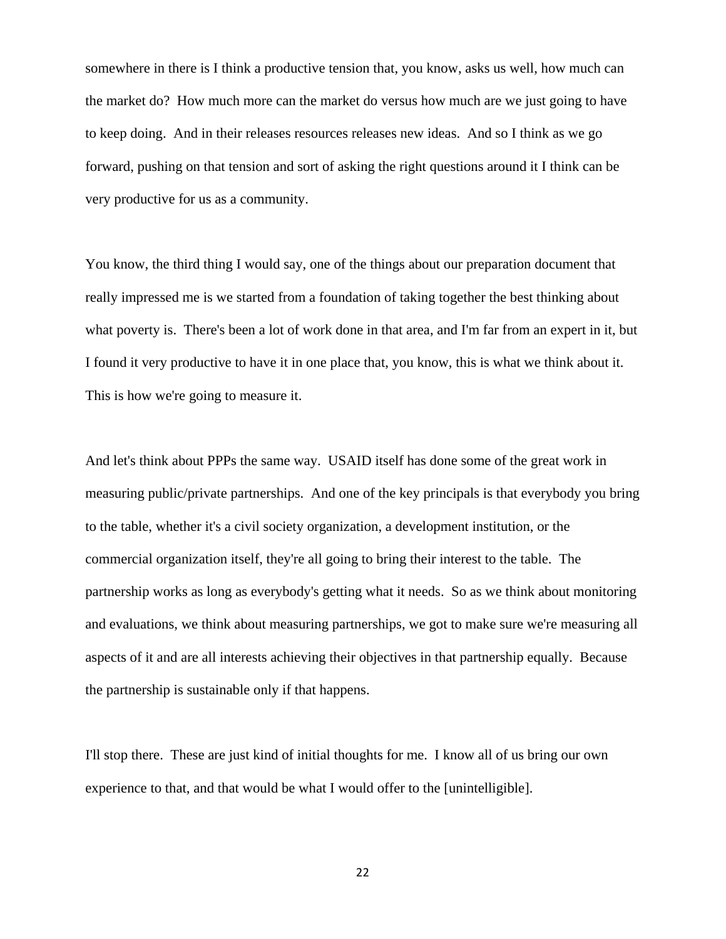somewhere in there is I think a productive tension that, you know, asks us well, how much can the market do? How much more can the market do versus how much are we just going to have to keep doing. And in their releases resources releases new ideas. And so I think as we go forward, pushing on that tension and sort of asking the right questions around it I think can be very productive for us as a community.

You know, the third thing I would say, one of the things about our preparation document that really impressed me is we started from a foundation of taking together the best thinking about what poverty is. There's been a lot of work done in that area, and I'm far from an expert in it, but I found it very productive to have it in one place that, you know, this is what we think about it. This is how we're going to measure it.

And let's think about PPPs the same way. USAID itself has done some of the great work in measuring public/private partnerships. And one of the key principals is that everybody you bring to the table, whether it's a civil society organization, a development institution, or the commercial organization itself, they're all going to bring their interest to the table. The partnership works as long as everybody's getting what it needs. So as we think about monitoring and evaluations, we think about measuring partnerships, we got to make sure we're measuring all aspects of it and are all interests achieving their objectives in that partnership equally. Because the partnership is sustainable only if that happens.

I'll stop there. These are just kind of initial thoughts for me. I know all of us bring our own experience to that, and that would be what I would offer to the [unintelligible].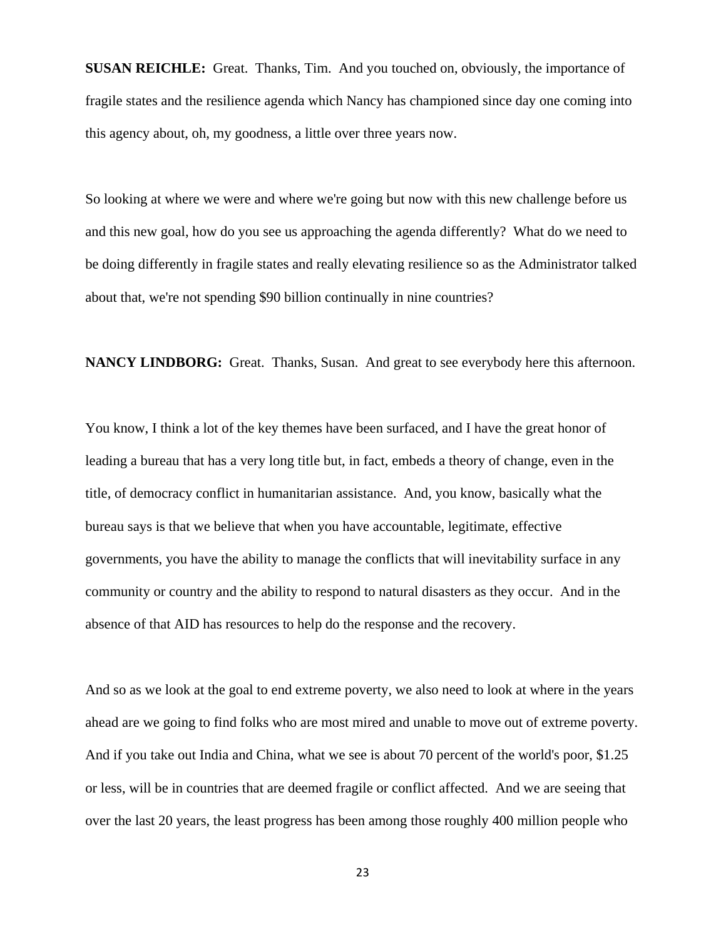**SUSAN REICHLE:** Great. Thanks, Tim. And you touched on, obviously, the importance of fragile states and the resilience agenda which Nancy has championed since day one coming into this agency about, oh, my goodness, a little over three years now.

So looking at where we were and where we're going but now with this new challenge before us and this new goal, how do you see us approaching the agenda differently? What do we need to be doing differently in fragile states and really elevating resilience so as the Administrator talked about that, we're not spending \$90 billion continually in nine countries?

**NANCY LINDBORG:** Great. Thanks, Susan. And great to see everybody here this afternoon.

You know, I think a lot of the key themes have been surfaced, and I have the great honor of leading a bureau that has a very long title but, in fact, embeds a theory of change, even in the title, of democracy conflict in humanitarian assistance. And, you know, basically what the bureau says is that we believe that when you have accountable, legitimate, effective governments, you have the ability to manage the conflicts that will inevitability surface in any community or country and the ability to respond to natural disasters as they occur. And in the absence of that AID has resources to help do the response and the recovery.

And so as we look at the goal to end extreme poverty, we also need to look at where in the years ahead are we going to find folks who are most mired and unable to move out of extreme poverty. And if you take out India and China, what we see is about 70 percent of the world's poor, \$1.25 or less, will be in countries that are deemed fragile or conflict affected. And we are seeing that over the last 20 years, the least progress has been among those roughly 400 million people who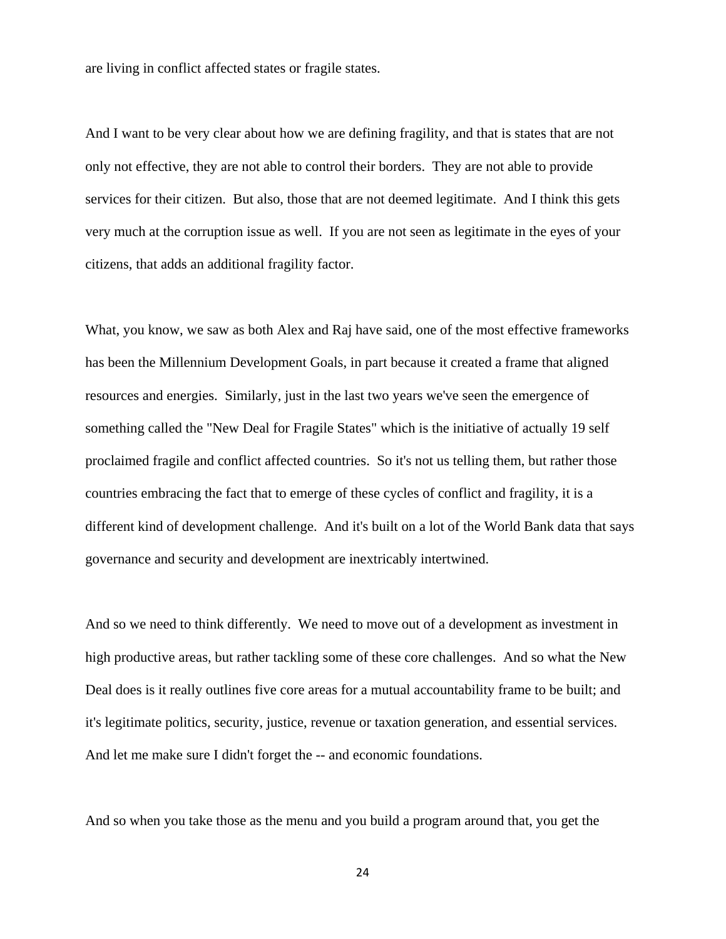are living in conflict affected states or fragile states.

And I want to be very clear about how we are defining fragility, and that is states that are not only not effective, they are not able to control their borders. They are not able to provide services for their citizen. But also, those that are not deemed legitimate. And I think this gets very much at the corruption issue as well. If you are not seen as legitimate in the eyes of your citizens, that adds an additional fragility factor.

What, you know, we saw as both Alex and Raj have said, one of the most effective frameworks has been the Millennium Development Goals, in part because it created a frame that aligned resources and energies. Similarly, just in the last two years we've seen the emergence of something called the "New Deal for Fragile States" which is the initiative of actually 19 self proclaimed fragile and conflict affected countries. So it's not us telling them, but rather those countries embracing the fact that to emerge of these cycles of conflict and fragility, it is a different kind of development challenge. And it's built on a lot of the World Bank data that says governance and security and development are inextricably intertwined.

And so we need to think differently. We need to move out of a development as investment in high productive areas, but rather tackling some of these core challenges. And so what the New Deal does is it really outlines five core areas for a mutual accountability frame to be built; and it's legitimate politics, security, justice, revenue or taxation generation, and essential services. And let me make sure I didn't forget the -- and economic foundations.

And so when you take those as the menu and you build a program around that, you get the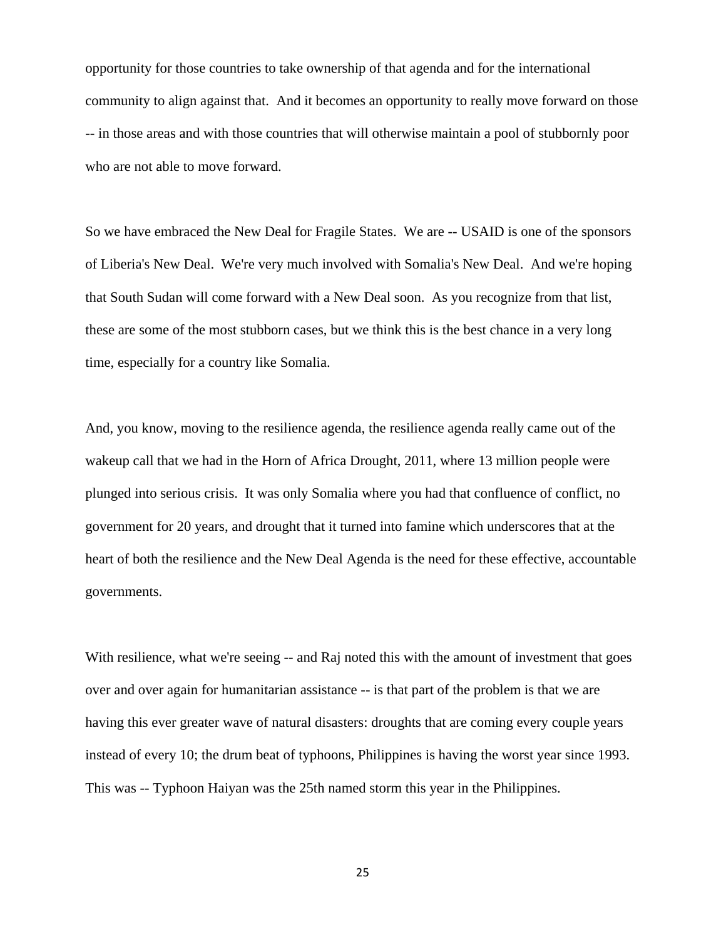opportunity for those countries to take ownership of that agenda and for the international community to align against that. And it becomes an opportunity to really move forward on those -- in those areas and with those countries that will otherwise maintain a pool of stubbornly poor who are not able to move forward.

So we have embraced the New Deal for Fragile States. We are -- USAID is one of the sponsors of Liberia's New Deal. We're very much involved with Somalia's New Deal. And we're hoping that South Sudan will come forward with a New Deal soon. As you recognize from that list, these are some of the most stubborn cases, but we think this is the best chance in a very long time, especially for a country like Somalia.

And, you know, moving to the resilience agenda, the resilience agenda really came out of the wakeup call that we had in the Horn of Africa Drought, 2011, where 13 million people were plunged into serious crisis. It was only Somalia where you had that confluence of conflict, no government for 20 years, and drought that it turned into famine which underscores that at the heart of both the resilience and the New Deal Agenda is the need for these effective, accountable governments.

With resilience, what we're seeing -- and Raj noted this with the amount of investment that goes over and over again for humanitarian assistance -- is that part of the problem is that we are having this ever greater wave of natural disasters: droughts that are coming every couple years instead of every 10; the drum beat of typhoons, Philippines is having the worst year since 1993. This was -- Typhoon Haiyan was the 25th named storm this year in the Philippines.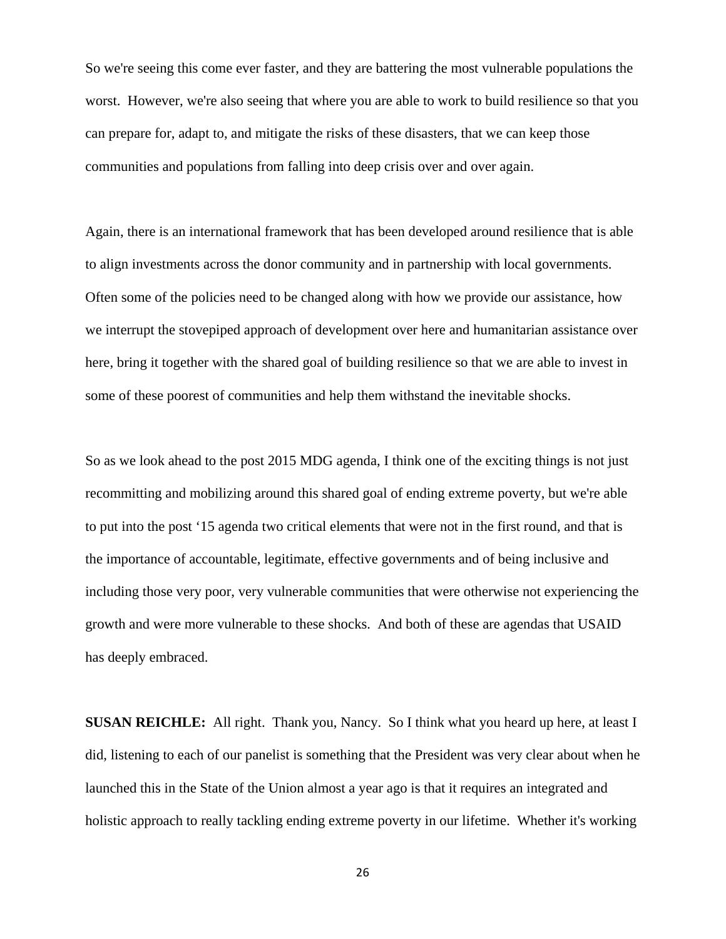So we're seeing this come ever faster, and they are battering the most vulnerable populations the worst. However, we're also seeing that where you are able to work to build resilience so that you can prepare for, adapt to, and mitigate the risks of these disasters, that we can keep those communities and populations from falling into deep crisis over and over again.

Again, there is an international framework that has been developed around resilience that is able to align investments across the donor community and in partnership with local governments. Often some of the policies need to be changed along with how we provide our assistance, how we interrupt the stovepiped approach of development over here and humanitarian assistance over here, bring it together with the shared goal of building resilience so that we are able to invest in some of these poorest of communities and help them withstand the inevitable shocks.

So as we look ahead to the post 2015 MDG agenda, I think one of the exciting things is not just recommitting and mobilizing around this shared goal of ending extreme poverty, but we're able to put into the post '15 agenda two critical elements that were not in the first round, and that is the importance of accountable, legitimate, effective governments and of being inclusive and including those very poor, very vulnerable communities that were otherwise not experiencing the growth and were more vulnerable to these shocks. And both of these are agendas that USAID has deeply embraced.

**SUSAN REICHLE:** All right. Thank you, Nancy. So I think what you heard up here, at least I did, listening to each of our panelist is something that the President was very clear about when he launched this in the State of the Union almost a year ago is that it requires an integrated and holistic approach to really tackling ending extreme poverty in our lifetime. Whether it's working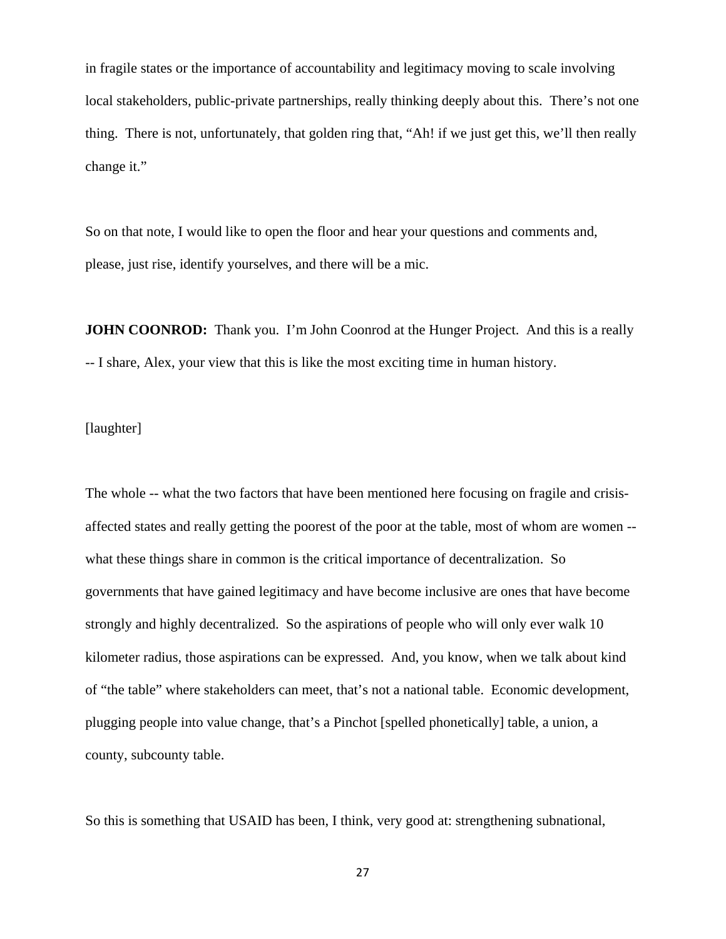in fragile states or the importance of accountability and legitimacy moving to scale involving local stakeholders, public-private partnerships, really thinking deeply about this. There's not one thing. There is not, unfortunately, that golden ring that, "Ah! if we just get this, we'll then really change it."

So on that note, I would like to open the floor and hear your questions and comments and, please, just rise, identify yourselves, and there will be a mic.

**JOHN COONROD:** Thank you. I'm John Coonrod at the Hunger Project. And this is a really -- I share, Alex, your view that this is like the most exciting time in human history.

[laughter]

The whole -- what the two factors that have been mentioned here focusing on fragile and crisisaffected states and really getting the poorest of the poor at the table, most of whom are women - what these things share in common is the critical importance of decentralization. So governments that have gained legitimacy and have become inclusive are ones that have become strongly and highly decentralized. So the aspirations of people who will only ever walk 10 kilometer radius, those aspirations can be expressed. And, you know, when we talk about kind of "the table" where stakeholders can meet, that's not a national table. Economic development, plugging people into value change, that's a Pinchot [spelled phonetically] table, a union, a county, subcounty table.

So this is something that USAID has been, I think, very good at: strengthening subnational,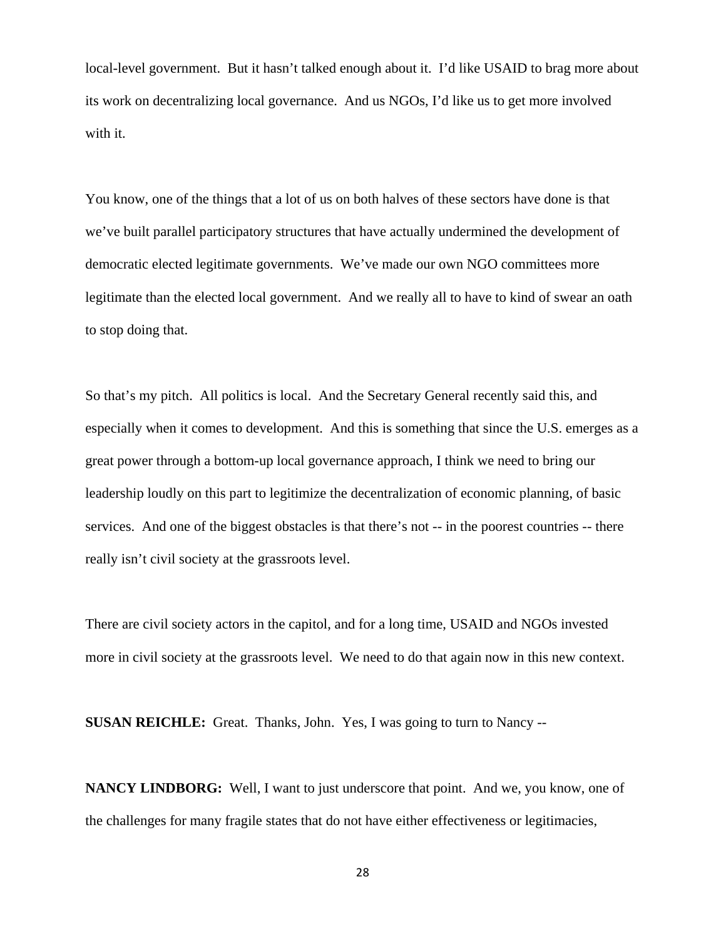local-level government. But it hasn't talked enough about it. I'd like USAID to brag more about its work on decentralizing local governance. And us NGOs, I'd like us to get more involved with it.

You know, one of the things that a lot of us on both halves of these sectors have done is that we've built parallel participatory structures that have actually undermined the development of democratic elected legitimate governments. We've made our own NGO committees more legitimate than the elected local government. And we really all to have to kind of swear an oath to stop doing that.

So that's my pitch. All politics is local. And the Secretary General recently said this, and especially when it comes to development. And this is something that since the U.S. emerges as a great power through a bottom-up local governance approach, I think we need to bring our leadership loudly on this part to legitimize the decentralization of economic planning, of basic services. And one of the biggest obstacles is that there's not -- in the poorest countries -- there really isn't civil society at the grassroots level.

There are civil society actors in the capitol, and for a long time, USAID and NGOs invested more in civil society at the grassroots level. We need to do that again now in this new context.

**SUSAN REICHLE:** Great. Thanks, John. Yes, I was going to turn to Nancy --

**NANCY LINDBORG:** Well, I want to just underscore that point. And we, you know, one of the challenges for many fragile states that do not have either effectiveness or legitimacies,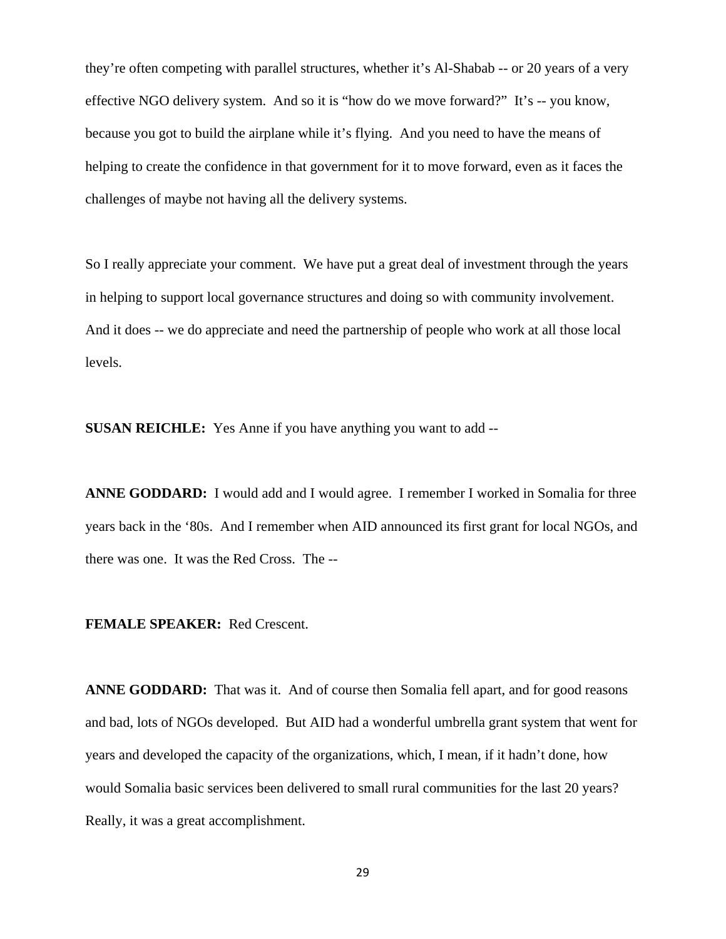they're often competing with parallel structures, whether it's Al-Shabab -- or 20 years of a very effective NGO delivery system. And so it is "how do we move forward?" It's -- you know, because you got to build the airplane while it's flying. And you need to have the means of helping to create the confidence in that government for it to move forward, even as it faces the challenges of maybe not having all the delivery systems.

So I really appreciate your comment. We have put a great deal of investment through the years in helping to support local governance structures and doing so with community involvement. And it does -- we do appreciate and need the partnership of people who work at all those local levels.

**SUSAN REICHLE:** Yes Anne if you have anything you want to add --

**ANNE GODDARD:** I would add and I would agree. I remember I worked in Somalia for three years back in the '80s. And I remember when AID announced its first grant for local NGOs, and there was one. It was the Red Cross. The --

#### **FEMALE SPEAKER:** Red Crescent.

**ANNE GODDARD:** That was it. And of course then Somalia fell apart, and for good reasons and bad, lots of NGOs developed. But AID had a wonderful umbrella grant system that went for years and developed the capacity of the organizations, which, I mean, if it hadn't done, how would Somalia basic services been delivered to small rural communities for the last 20 years? Really, it was a great accomplishment.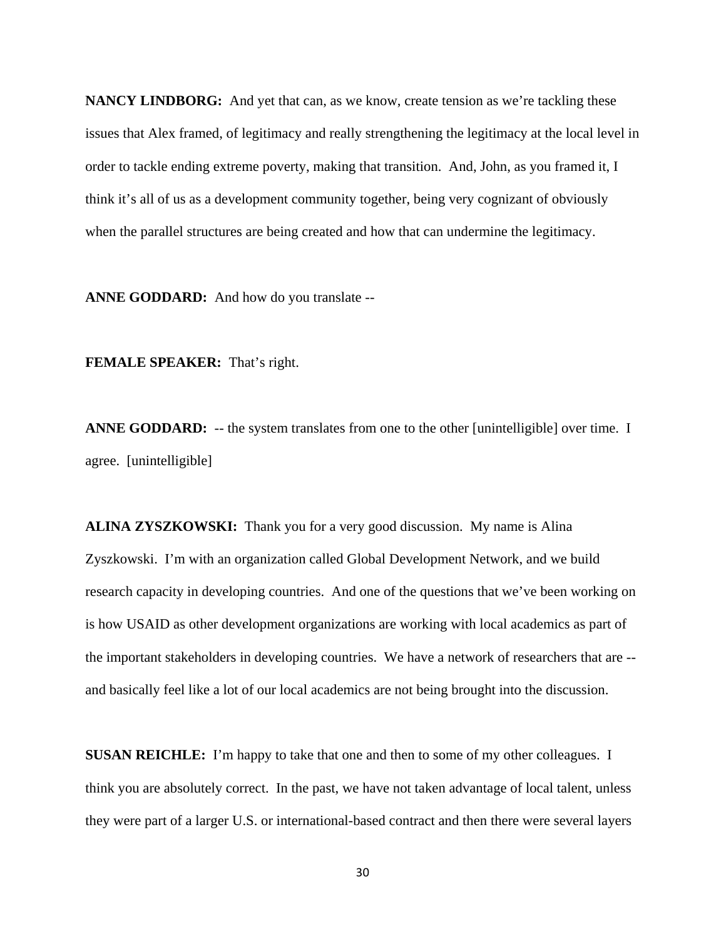**NANCY LINDBORG:** And yet that can, as we know, create tension as we're tackling these issues that Alex framed, of legitimacy and really strengthening the legitimacy at the local level in order to tackle ending extreme poverty, making that transition. And, John, as you framed it, I think it's all of us as a development community together, being very cognizant of obviously when the parallel structures are being created and how that can undermine the legitimacy.

**ANNE GODDARD:** And how do you translate --

**FEMALE SPEAKER:** That's right.

**ANNE GODDARD:** -- the system translates from one to the other [unintelligible] over time. I agree. [unintelligible]

**ALINA ZYSZKOWSKI:** Thank you for a very good discussion. My name is Alina Zyszkowski. I'm with an organization called Global Development Network, and we build research capacity in developing countries. And one of the questions that we've been working on is how USAID as other development organizations are working with local academics as part of the important stakeholders in developing countries. We have a network of researchers that are - and basically feel like a lot of our local academics are not being brought into the discussion.

**SUSAN REICHLE:** I'm happy to take that one and then to some of my other colleagues. I think you are absolutely correct. In the past, we have not taken advantage of local talent, unless they were part of a larger U.S. or international-based contract and then there were several layers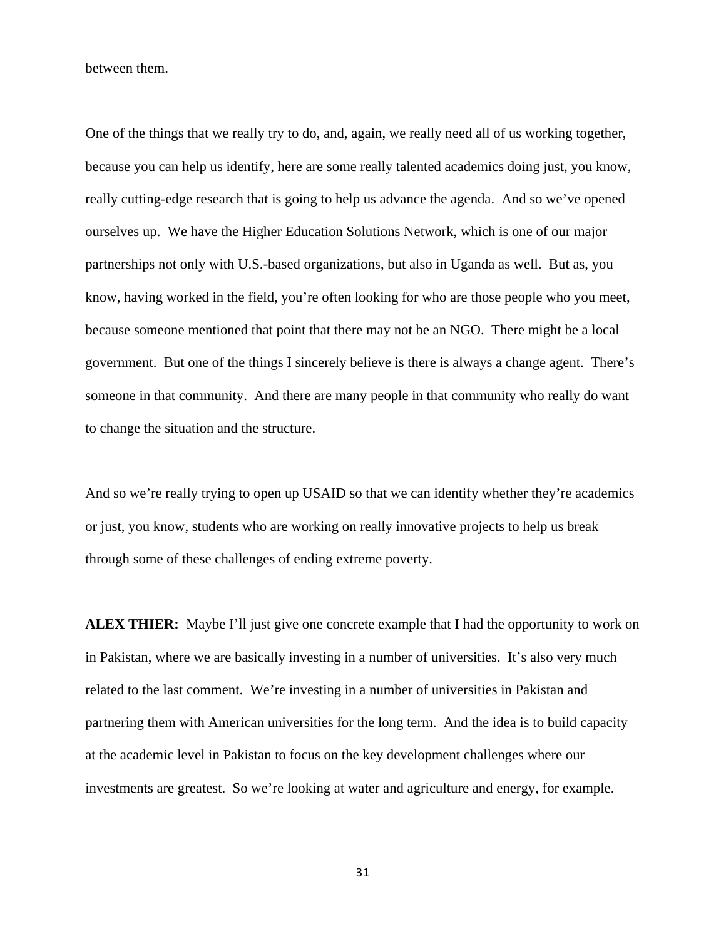between them.

One of the things that we really try to do, and, again, we really need all of us working together, because you can help us identify, here are some really talented academics doing just, you know, really cutting-edge research that is going to help us advance the agenda. And so we've opened ourselves up. We have the Higher Education Solutions Network, which is one of our major partnerships not only with U.S.-based organizations, but also in Uganda as well. But as, you know, having worked in the field, you're often looking for who are those people who you meet, because someone mentioned that point that there may not be an NGO. There might be a local government. But one of the things I sincerely believe is there is always a change agent. There's someone in that community. And there are many people in that community who really do want to change the situation and the structure.

And so we're really trying to open up USAID so that we can identify whether they're academics or just, you know, students who are working on really innovative projects to help us break through some of these challenges of ending extreme poverty.

**ALEX THIER:** Maybe I'll just give one concrete example that I had the opportunity to work on in Pakistan, where we are basically investing in a number of universities. It's also very much related to the last comment. We're investing in a number of universities in Pakistan and partnering them with American universities for the long term. And the idea is to build capacity at the academic level in Pakistan to focus on the key development challenges where our investments are greatest. So we're looking at water and agriculture and energy, for example.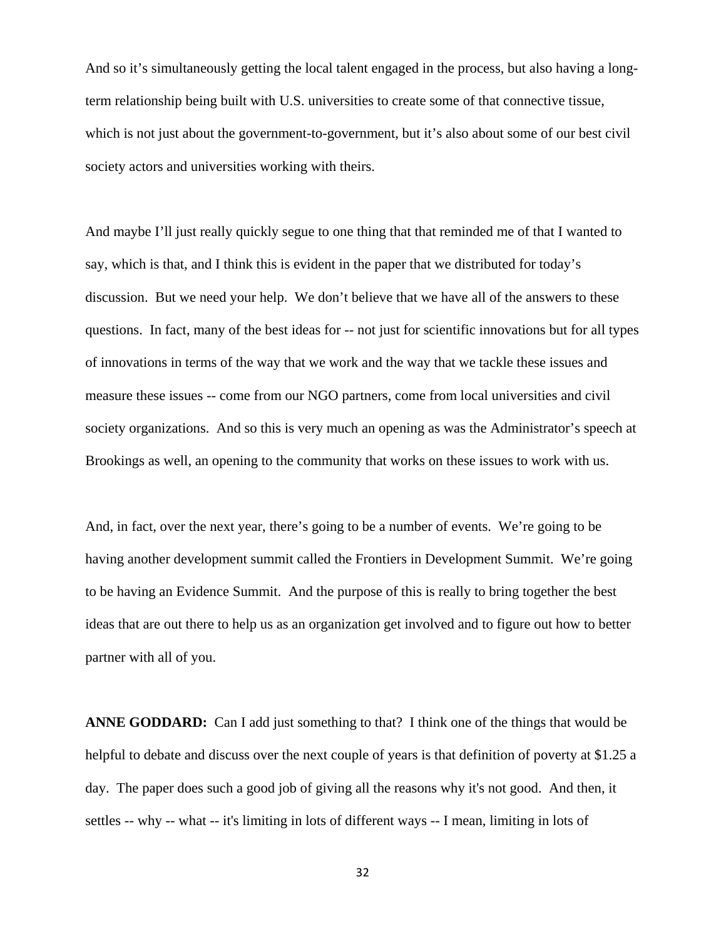And so it's simultaneously getting the local talent engaged in the process, but also having a longterm relationship being built with U.S. universities to create some of that connective tissue, which is not just about the government-to-government, but it's also about some of our best civil society actors and universities working with theirs.

And maybe I'll just really quickly segue to one thing that that reminded me of that I wanted to say, which is that, and I think this is evident in the paper that we distributed for today's discussion. But we need your help. We don't believe that we have all of the answers to these questions. In fact, many of the best ideas for -- not just for scientific innovations but for all types of innovations in terms of the way that we work and the way that we tackle these issues and measure these issues -- come from our NGO partners, come from local universities and civil society organizations. And so this is very much an opening as was the Administrator's speech at Brookings as well, an opening to the community that works on these issues to work with us.

And, in fact, over the next year, there's going to be a number of events. We're going to be having another development summit called the Frontiers in Development Summit. We're going to be having an Evidence Summit. And the purpose of this is really to bring together the best ideas that are out there to help us as an organization get involved and to figure out how to better partner with all of you.

**ANNE GODDARD:** Can I add just something to that? I think one of the things that would be helpful to debate and discuss over the next couple of years is that definition of poverty at \$1.25 a day. The paper does such a good job of giving all the reasons why it's not good. And then, it settles -- why -- what -- it's limiting in lots of different ways -- I mean, limiting in lots of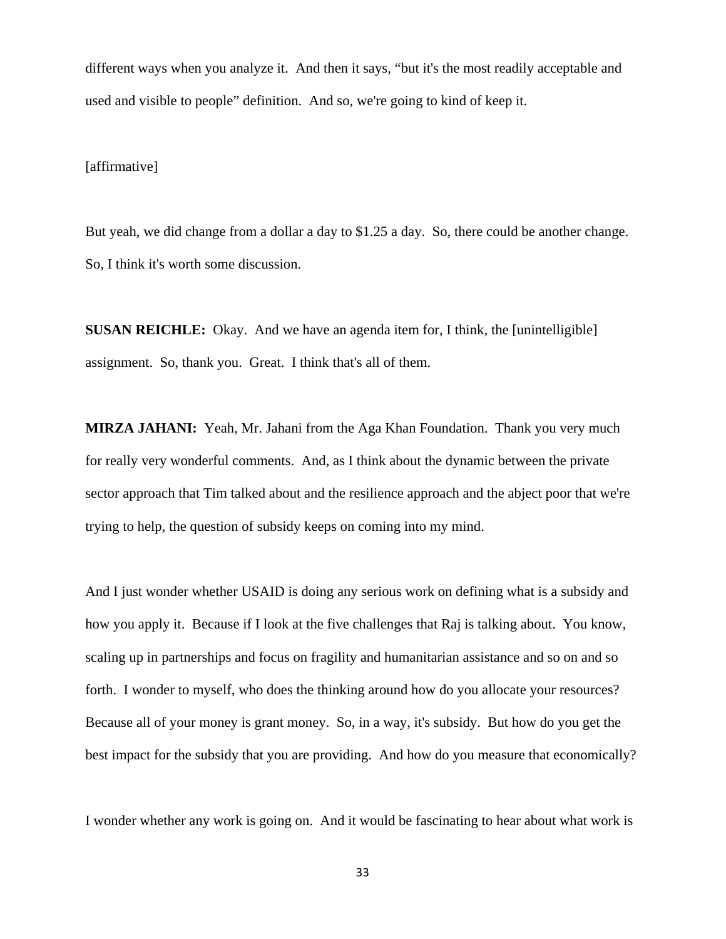different ways when you analyze it. And then it says, "but it's the most readily acceptable and used and visible to people" definition. And so, we're going to kind of keep it.

[affirmative]

But yeah, we did change from a dollar a day to \$1.25 a day. So, there could be another change. So, I think it's worth some discussion.

**SUSAN REICHLE:** Okay. And we have an agenda item for, I think, the [unintelligible] assignment. So, thank you. Great. I think that's all of them.

**MIRZA JAHANI:** Yeah, Mr. Jahani from the Aga Khan Foundation. Thank you very much for really very wonderful comments. And, as I think about the dynamic between the private sector approach that Tim talked about and the resilience approach and the abject poor that we're trying to help, the question of subsidy keeps on coming into my mind.

And I just wonder whether USAID is doing any serious work on defining what is a subsidy and how you apply it. Because if I look at the five challenges that Raj is talking about. You know, scaling up in partnerships and focus on fragility and humanitarian assistance and so on and so forth. I wonder to myself, who does the thinking around how do you allocate your resources? Because all of your money is grant money. So, in a way, it's subsidy. But how do you get the best impact for the subsidy that you are providing. And how do you measure that economically?

I wonder whether any work is going on. And it would be fascinating to hear about what work is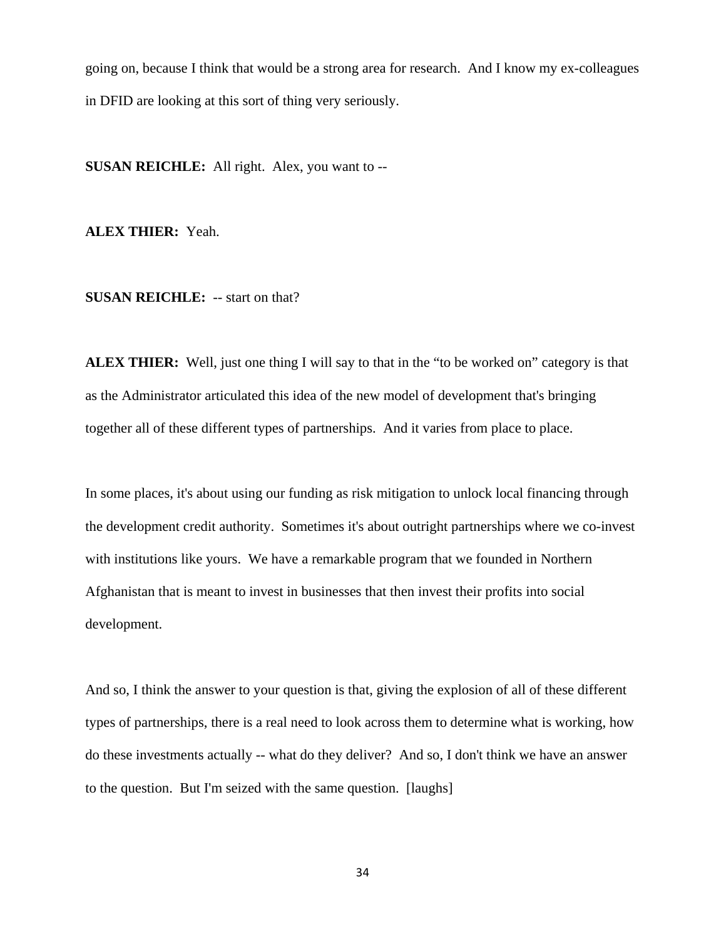going on, because I think that would be a strong area for research. And I know my ex-colleagues in DFID are looking at this sort of thing very seriously.

**SUSAN REICHLE:** All right. Alex, you want to --

**ALEX THIER:** Yeah.

**SUSAN REICHLE:** -- start on that?

**ALEX THIER:** Well, just one thing I will say to that in the "to be worked on" category is that as the Administrator articulated this idea of the new model of development that's bringing together all of these different types of partnerships. And it varies from place to place.

In some places, it's about using our funding as risk mitigation to unlock local financing through the development credit authority. Sometimes it's about outright partnerships where we co-invest with institutions like yours. We have a remarkable program that we founded in Northern Afghanistan that is meant to invest in businesses that then invest their profits into social development.

And so, I think the answer to your question is that, giving the explosion of all of these different types of partnerships, there is a real need to look across them to determine what is working, how do these investments actually -- what do they deliver? And so, I don't think we have an answer to the question. But I'm seized with the same question. [laughs]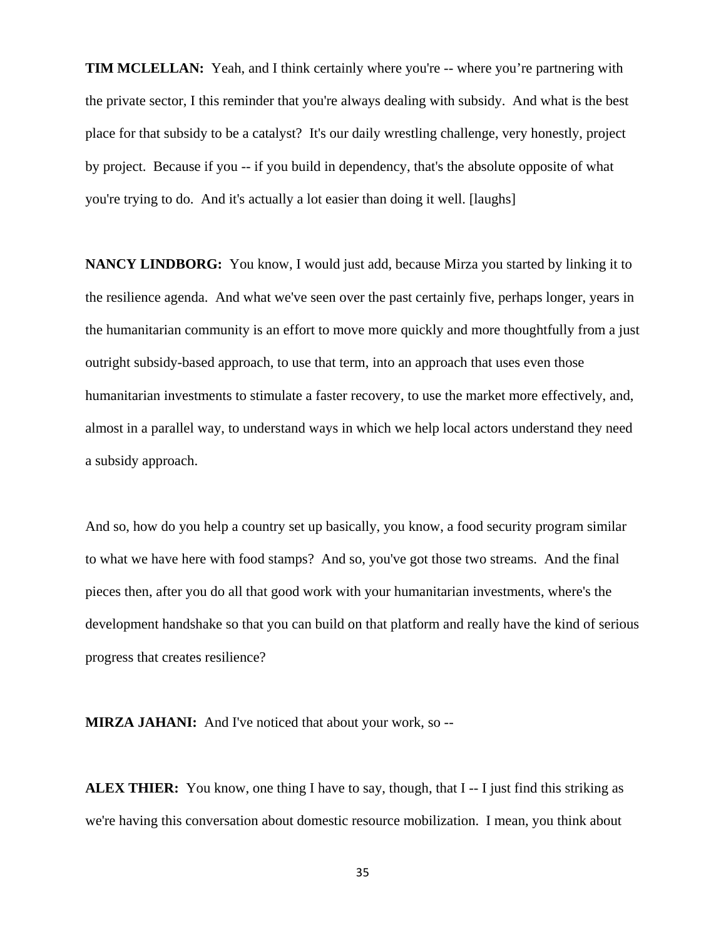**TIM MCLELLAN:** Yeah, and I think certainly where you're -- where you're partnering with the private sector, I this reminder that you're always dealing with subsidy. And what is the best place for that subsidy to be a catalyst? It's our daily wrestling challenge, very honestly, project by project. Because if you -- if you build in dependency, that's the absolute opposite of what you're trying to do. And it's actually a lot easier than doing it well. [laughs]

**NANCY LINDBORG:** You know, I would just add, because Mirza you started by linking it to the resilience agenda. And what we've seen over the past certainly five, perhaps longer, years in the humanitarian community is an effort to move more quickly and more thoughtfully from a just outright subsidy-based approach, to use that term, into an approach that uses even those humanitarian investments to stimulate a faster recovery, to use the market more effectively, and, almost in a parallel way, to understand ways in which we help local actors understand they need a subsidy approach.

And so, how do you help a country set up basically, you know, a food security program similar to what we have here with food stamps? And so, you've got those two streams. And the final pieces then, after you do all that good work with your humanitarian investments, where's the development handshake so that you can build on that platform and really have the kind of serious progress that creates resilience?

**MIRZA JAHANI:** And I've noticed that about your work, so --

**ALEX THIER:** You know, one thing I have to say, though, that I -- I just find this striking as we're having this conversation about domestic resource mobilization. I mean, you think about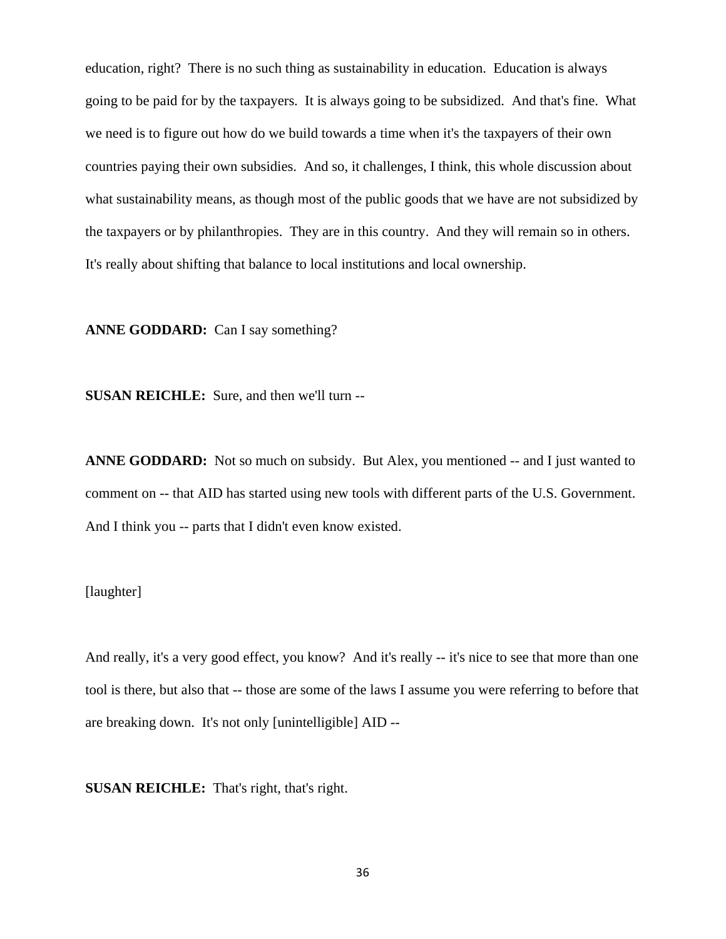education, right? There is no such thing as sustainability in education. Education is always going to be paid for by the taxpayers. It is always going to be subsidized. And that's fine. What we need is to figure out how do we build towards a time when it's the taxpayers of their own countries paying their own subsidies. And so, it challenges, I think, this whole discussion about what sustainability means, as though most of the public goods that we have are not subsidized by the taxpayers or by philanthropies. They are in this country. And they will remain so in others. It's really about shifting that balance to local institutions and local ownership.

**ANNE GODDARD:** Can I say something?

**SUSAN REICHLE:** Sure, and then we'll turn --

**ANNE GODDARD:** Not so much on subsidy. But Alex, you mentioned -- and I just wanted to comment on -- that AID has started using new tools with different parts of the U.S. Government. And I think you -- parts that I didn't even know existed.

## [laughter]

And really, it's a very good effect, you know? And it's really -- it's nice to see that more than one tool is there, but also that -- those are some of the laws I assume you were referring to before that are breaking down. It's not only [unintelligible] AID --

**SUSAN REICHLE:** That's right, that's right.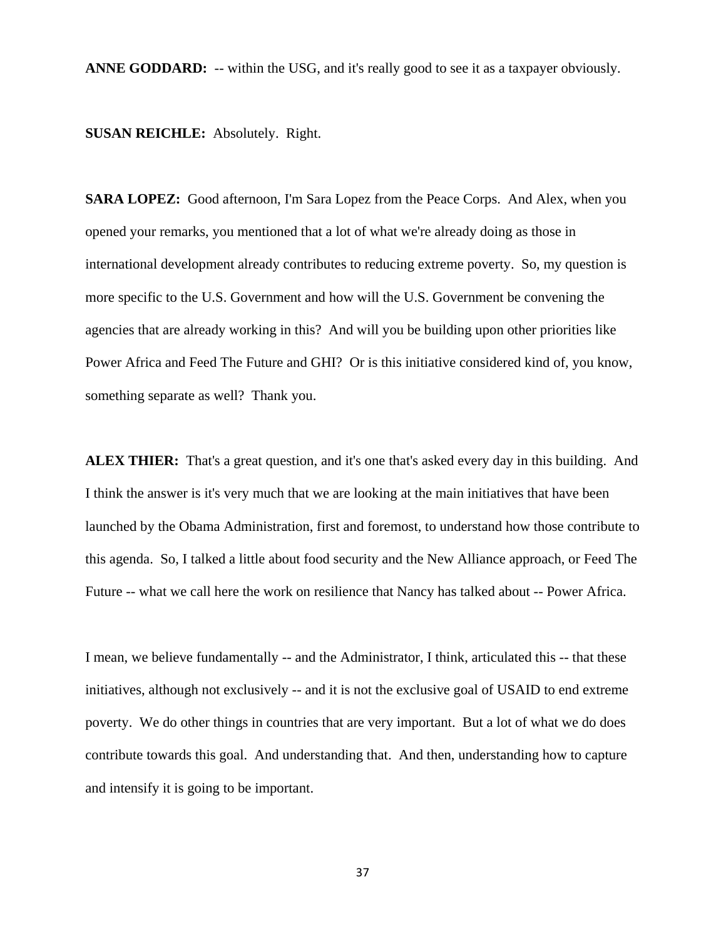**ANNE GODDARD:** -- within the USG, and it's really good to see it as a taxpayer obviously.

**SUSAN REICHLE:** Absolutely. Right.

**SARA LOPEZ:** Good afternoon, I'm Sara Lopez from the Peace Corps. And Alex, when you opened your remarks, you mentioned that a lot of what we're already doing as those in international development already contributes to reducing extreme poverty. So, my question is more specific to the U.S. Government and how will the U.S. Government be convening the agencies that are already working in this? And will you be building upon other priorities like Power Africa and Feed The Future and GHI? Or is this initiative considered kind of, you know, something separate as well? Thank you.

**ALEX THIER:** That's a great question, and it's one that's asked every day in this building. And I think the answer is it's very much that we are looking at the main initiatives that have been launched by the Obama Administration, first and foremost, to understand how those contribute to this agenda. So, I talked a little about food security and the New Alliance approach, or Feed The Future -- what we call here the work on resilience that Nancy has talked about -- Power Africa.

I mean, we believe fundamentally -- and the Administrator, I think, articulated this -- that these initiatives, although not exclusively -- and it is not the exclusive goal of USAID to end extreme poverty. We do other things in countries that are very important. But a lot of what we do does contribute towards this goal. And understanding that. And then, understanding how to capture and intensify it is going to be important.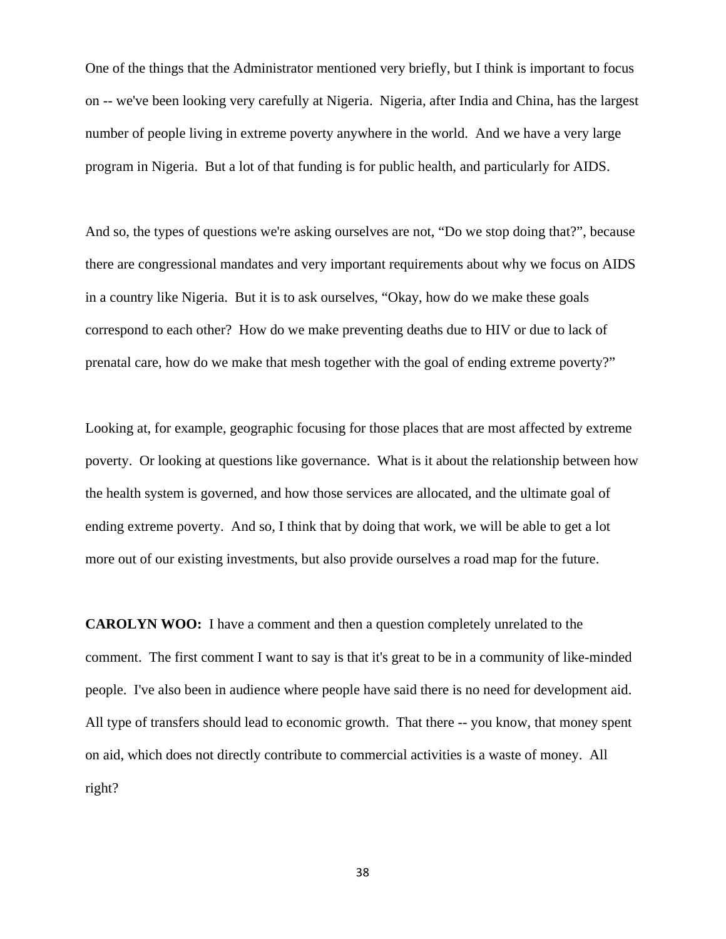One of the things that the Administrator mentioned very briefly, but I think is important to focus on -- we've been looking very carefully at Nigeria. Nigeria, after India and China, has the largest number of people living in extreme poverty anywhere in the world. And we have a very large program in Nigeria. But a lot of that funding is for public health, and particularly for AIDS.

And so, the types of questions we're asking ourselves are not, "Do we stop doing that?", because there are congressional mandates and very important requirements about why we focus on AIDS in a country like Nigeria. But it is to ask ourselves, "Okay, how do we make these goals correspond to each other? How do we make preventing deaths due to HIV or due to lack of prenatal care, how do we make that mesh together with the goal of ending extreme poverty?"

Looking at, for example, geographic focusing for those places that are most affected by extreme poverty. Or looking at questions like governance. What is it about the relationship between how the health system is governed, and how those services are allocated, and the ultimate goal of ending extreme poverty. And so, I think that by doing that work, we will be able to get a lot more out of our existing investments, but also provide ourselves a road map for the future.

**CAROLYN WOO:** I have a comment and then a question completely unrelated to the comment. The first comment I want to say is that it's great to be in a community of like-minded people. I've also been in audience where people have said there is no need for development aid. All type of transfers should lead to economic growth. That there -- you know, that money spent on aid, which does not directly contribute to commercial activities is a waste of money. All right?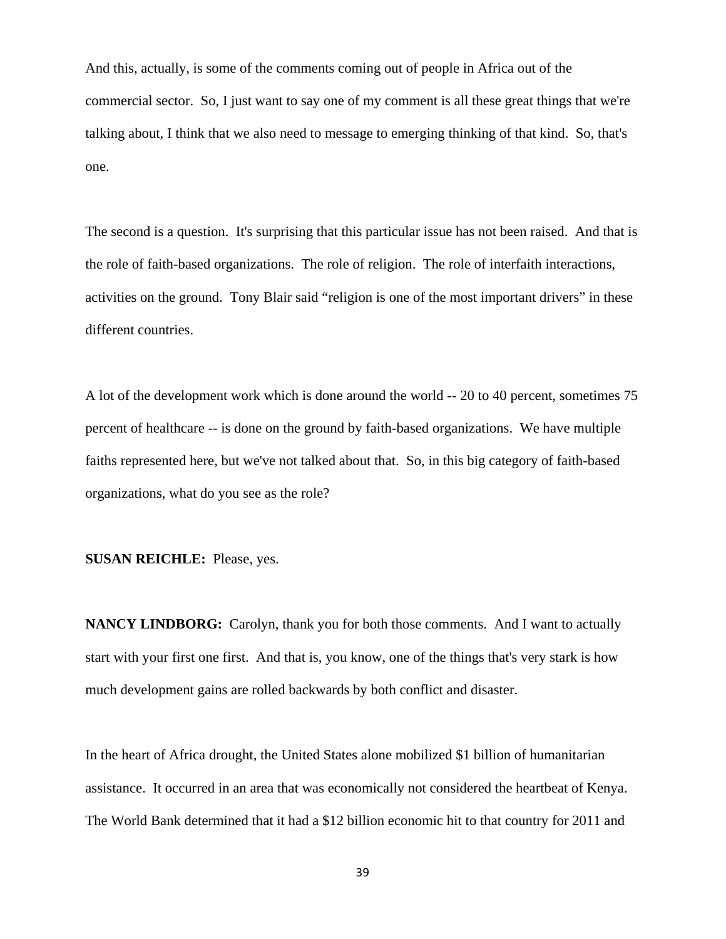And this, actually, is some of the comments coming out of people in Africa out of the commercial sector. So, I just want to say one of my comment is all these great things that we're talking about, I think that we also need to message to emerging thinking of that kind. So, that's one.

The second is a question. It's surprising that this particular issue has not been raised. And that is the role of faith-based organizations. The role of religion. The role of interfaith interactions, activities on the ground. Tony Blair said "religion is one of the most important drivers" in these different countries.

A lot of the development work which is done around the world -- 20 to 40 percent, sometimes 75 percent of healthcare -- is done on the ground by faith-based organizations. We have multiple faiths represented here, but we've not talked about that. So, in this big category of faith-based organizations, what do you see as the role?

**SUSAN REICHLE:** Please, yes.

**NANCY LINDBORG:** Carolyn, thank you for both those comments. And I want to actually start with your first one first. And that is, you know, one of the things that's very stark is how much development gains are rolled backwards by both conflict and disaster.

In the heart of Africa drought, the United States alone mobilized \$1 billion of humanitarian assistance. It occurred in an area that was economically not considered the heartbeat of Kenya. The World Bank determined that it had a \$12 billion economic hit to that country for 2011 and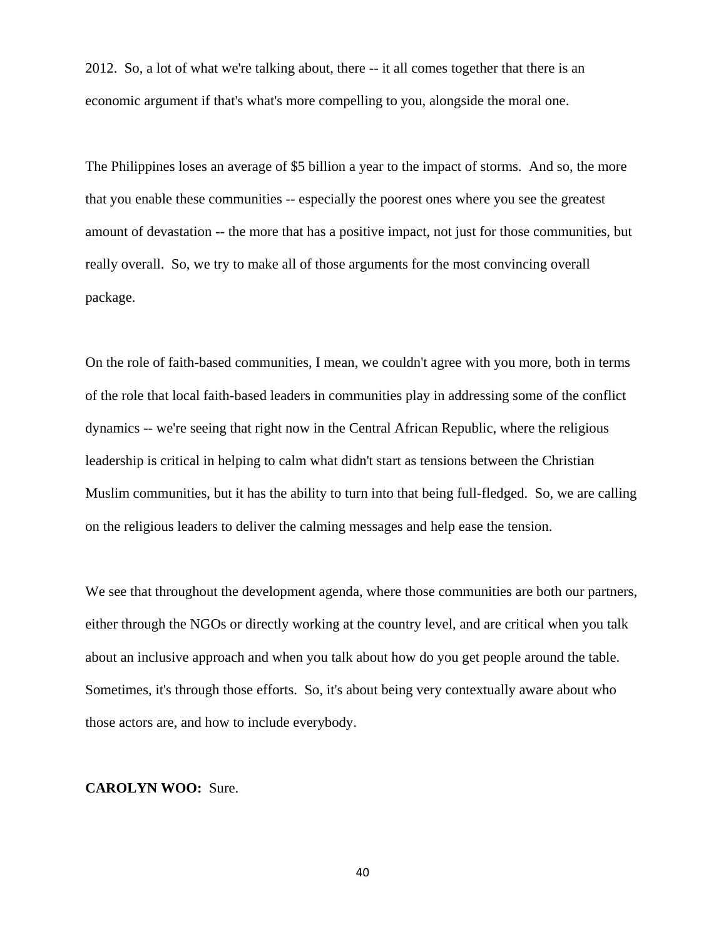2012. So, a lot of what we're talking about, there -- it all comes together that there is an economic argument if that's what's more compelling to you, alongside the moral one.

The Philippines loses an average of \$5 billion a year to the impact of storms. And so, the more that you enable these communities -- especially the poorest ones where you see the greatest amount of devastation -- the more that has a positive impact, not just for those communities, but really overall. So, we try to make all of those arguments for the most convincing overall package.

On the role of faith-based communities, I mean, we couldn't agree with you more, both in terms of the role that local faith-based leaders in communities play in addressing some of the conflict dynamics -- we're seeing that right now in the Central African Republic, where the religious leadership is critical in helping to calm what didn't start as tensions between the Christian Muslim communities, but it has the ability to turn into that being full-fledged. So, we are calling on the religious leaders to deliver the calming messages and help ease the tension.

We see that throughout the development agenda, where those communities are both our partners, either through the NGOs or directly working at the country level, and are critical when you talk about an inclusive approach and when you talk about how do you get people around the table. Sometimes, it's through those efforts. So, it's about being very contextually aware about who those actors are, and how to include everybody.

#### **CAROLYN WOO:** Sure.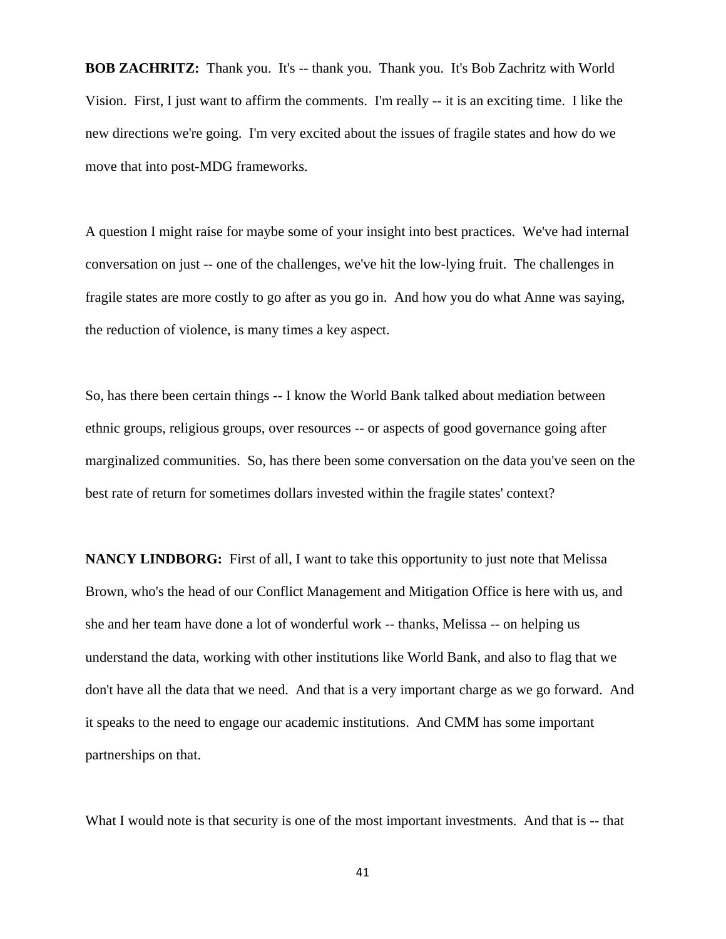**BOB ZACHRITZ:** Thank you. It's -- thank you. Thank you. It's Bob Zachritz with World Vision. First, I just want to affirm the comments. I'm really -- it is an exciting time. I like the new directions we're going. I'm very excited about the issues of fragile states and how do we move that into post-MDG frameworks.

A question I might raise for maybe some of your insight into best practices. We've had internal conversation on just -- one of the challenges, we've hit the low-lying fruit. The challenges in fragile states are more costly to go after as you go in. And how you do what Anne was saying, the reduction of violence, is many times a key aspect.

So, has there been certain things -- I know the World Bank talked about mediation between ethnic groups, religious groups, over resources -- or aspects of good governance going after marginalized communities. So, has there been some conversation on the data you've seen on the best rate of return for sometimes dollars invested within the fragile states' context?

**NANCY LINDBORG:** First of all, I want to take this opportunity to just note that Melissa Brown, who's the head of our Conflict Management and Mitigation Office is here with us, and she and her team have done a lot of wonderful work -- thanks, Melissa -- on helping us understand the data, working with other institutions like World Bank, and also to flag that we don't have all the data that we need. And that is a very important charge as we go forward. And it speaks to the need to engage our academic institutions. And CMM has some important partnerships on that.

What I would note is that security is one of the most important investments. And that is -- that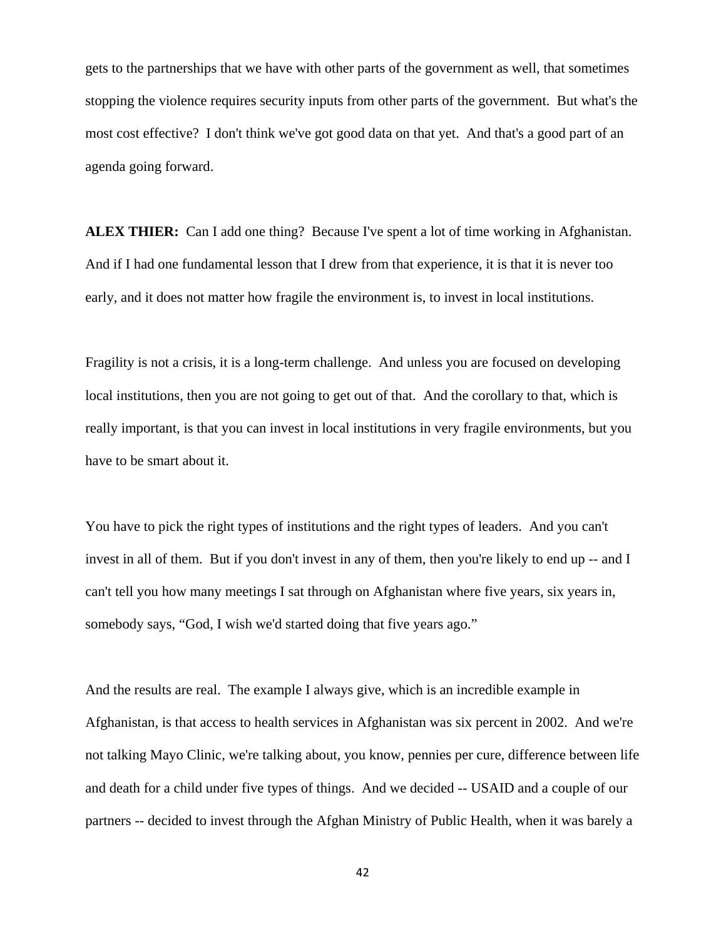gets to the partnerships that we have with other parts of the government as well, that sometimes stopping the violence requires security inputs from other parts of the government. But what's the most cost effective? I don't think we've got good data on that yet. And that's a good part of an agenda going forward.

**ALEX THIER:** Can I add one thing? Because I've spent a lot of time working in Afghanistan. And if I had one fundamental lesson that I drew from that experience, it is that it is never too early, and it does not matter how fragile the environment is, to invest in local institutions.

Fragility is not a crisis, it is a long-term challenge. And unless you are focused on developing local institutions, then you are not going to get out of that. And the corollary to that, which is really important, is that you can invest in local institutions in very fragile environments, but you have to be smart about it.

You have to pick the right types of institutions and the right types of leaders. And you can't invest in all of them. But if you don't invest in any of them, then you're likely to end up -- and I can't tell you how many meetings I sat through on Afghanistan where five years, six years in, somebody says, "God, I wish we'd started doing that five years ago."

And the results are real. The example I always give, which is an incredible example in Afghanistan, is that access to health services in Afghanistan was six percent in 2002. And we're not talking Mayo Clinic, we're talking about, you know, pennies per cure, difference between life and death for a child under five types of things. And we decided -- USAID and a couple of our partners -- decided to invest through the Afghan Ministry of Public Health, when it was barely a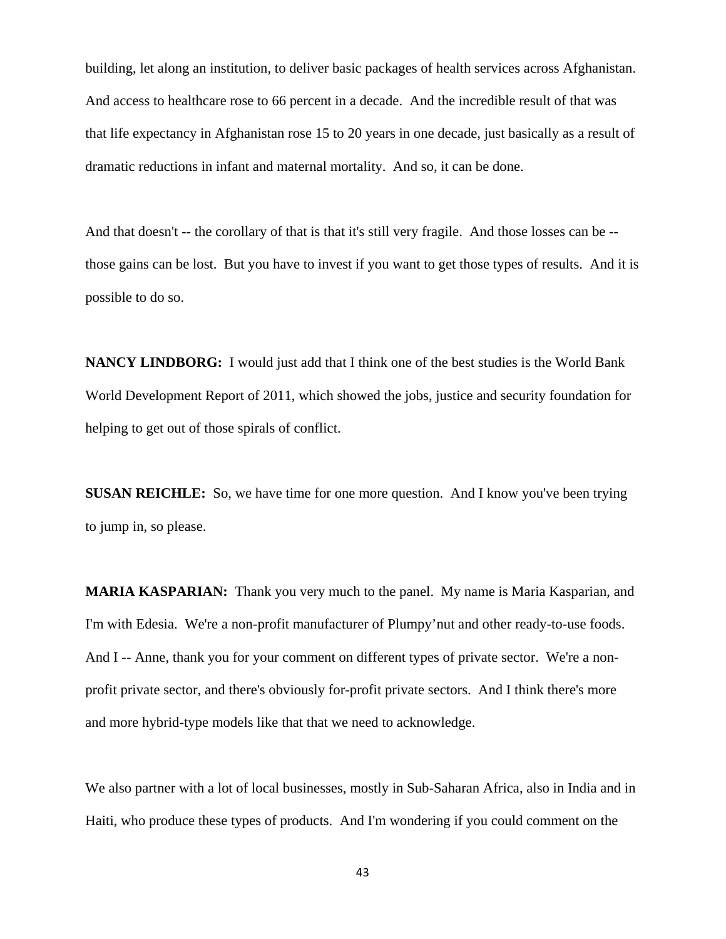building, let along an institution, to deliver basic packages of health services across Afghanistan. And access to healthcare rose to 66 percent in a decade. And the incredible result of that was that life expectancy in Afghanistan rose 15 to 20 years in one decade, just basically as a result of dramatic reductions in infant and maternal mortality. And so, it can be done.

And that doesn't -- the corollary of that is that it's still very fragile. And those losses can be - those gains can be lost. But you have to invest if you want to get those types of results. And it is possible to do so.

**NANCY LINDBORG:** I would just add that I think one of the best studies is the World Bank World Development Report of 2011, which showed the jobs, justice and security foundation for helping to get out of those spirals of conflict.

**SUSAN REICHLE:** So, we have time for one more question. And I know you've been trying to jump in, so please.

**MARIA KASPARIAN:** Thank you very much to the panel. My name is Maria Kasparian, and I'm with Edesia. We're a non-profit manufacturer of Plumpy'nut and other ready-to-use foods. And I -- Anne, thank you for your comment on different types of private sector. We're a nonprofit private sector, and there's obviously for-profit private sectors. And I think there's more and more hybrid-type models like that that we need to acknowledge.

We also partner with a lot of local businesses, mostly in Sub-Saharan Africa, also in India and in Haiti, who produce these types of products. And I'm wondering if you could comment on the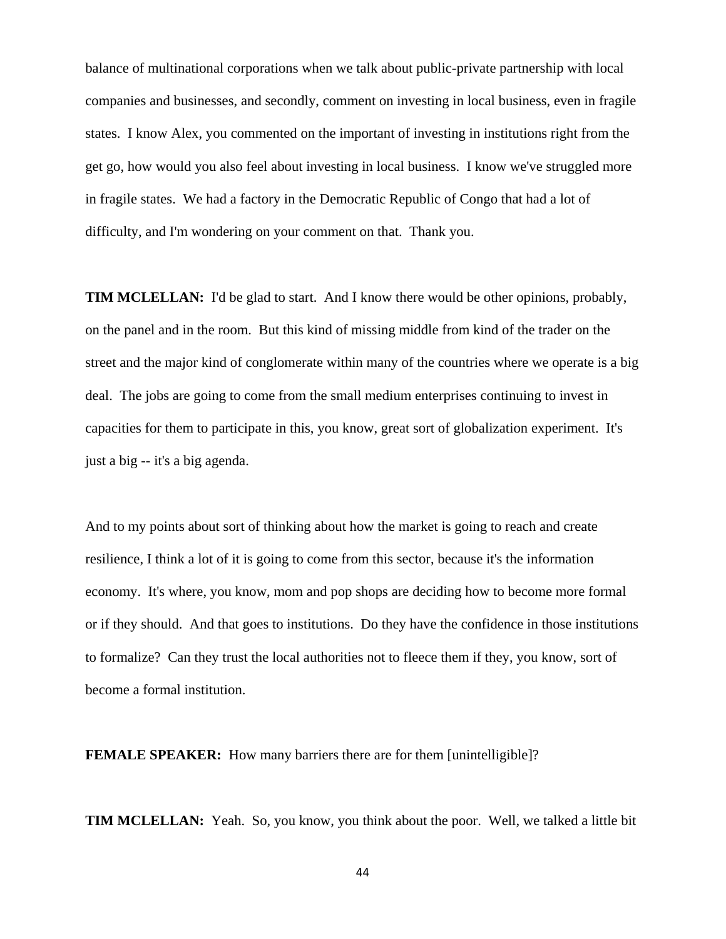balance of multinational corporations when we talk about public-private partnership with local companies and businesses, and secondly, comment on investing in local business, even in fragile states. I know Alex, you commented on the important of investing in institutions right from the get go, how would you also feel about investing in local business. I know we've struggled more in fragile states. We had a factory in the Democratic Republic of Congo that had a lot of difficulty, and I'm wondering on your comment on that. Thank you.

**TIM MCLELLAN:** I'd be glad to start. And I know there would be other opinions, probably, on the panel and in the room. But this kind of missing middle from kind of the trader on the street and the major kind of conglomerate within many of the countries where we operate is a big deal. The jobs are going to come from the small medium enterprises continuing to invest in capacities for them to participate in this, you know, great sort of globalization experiment. It's just a big -- it's a big agenda.

And to my points about sort of thinking about how the market is going to reach and create resilience, I think a lot of it is going to come from this sector, because it's the information economy. It's where, you know, mom and pop shops are deciding how to become more formal or if they should. And that goes to institutions. Do they have the confidence in those institutions to formalize? Can they trust the local authorities not to fleece them if they, you know, sort of become a formal institution.

**FEMALE SPEAKER:** How many barriers there are for them [unintelligible]?

**TIM MCLELLAN:** Yeah. So, you know, you think about the poor. Well, we talked a little bit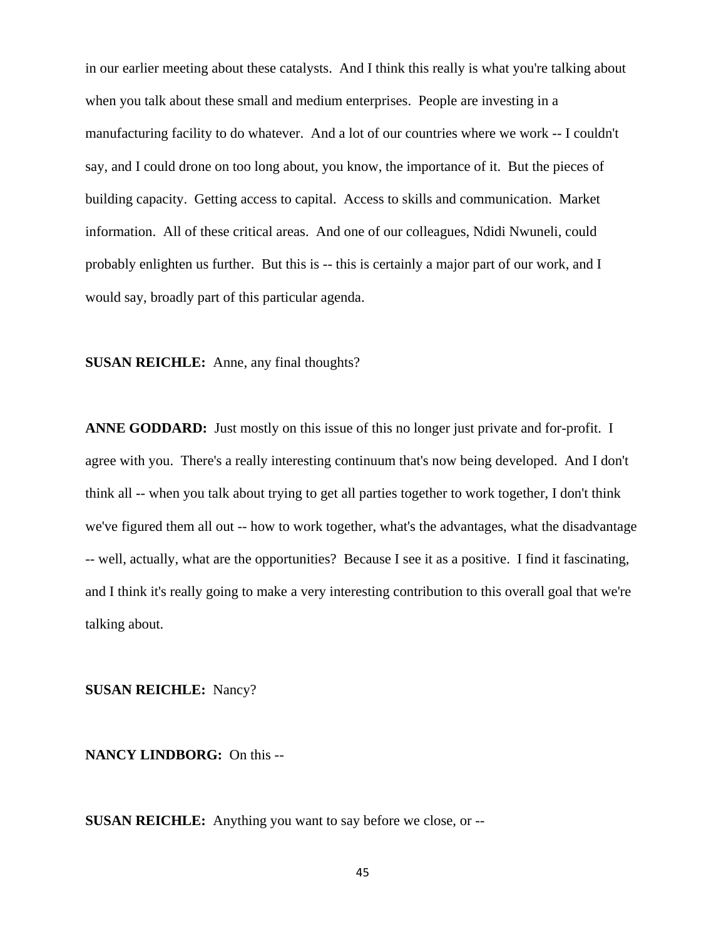in our earlier meeting about these catalysts. And I think this really is what you're talking about when you talk about these small and medium enterprises. People are investing in a manufacturing facility to do whatever. And a lot of our countries where we work -- I couldn't say, and I could drone on too long about, you know, the importance of it. But the pieces of building capacity. Getting access to capital. Access to skills and communication. Market information. All of these critical areas. And one of our colleagues, Ndidi Nwuneli, could probably enlighten us further. But this is -- this is certainly a major part of our work, and I would say, broadly part of this particular agenda.

# **SUSAN REICHLE:** Anne, any final thoughts?

**ANNE GODDARD:** Just mostly on this issue of this no longer just private and for-profit. I agree with you. There's a really interesting continuum that's now being developed. And I don't think all -- when you talk about trying to get all parties together to work together, I don't think we've figured them all out -- how to work together, what's the advantages, what the disadvantage -- well, actually, what are the opportunities? Because I see it as a positive. I find it fascinating, and I think it's really going to make a very interesting contribution to this overall goal that we're talking about.

**SUSAN REICHLE:** Nancy?

## **NANCY LINDBORG:** On this --

**SUSAN REICHLE:** Anything you want to say before we close, or --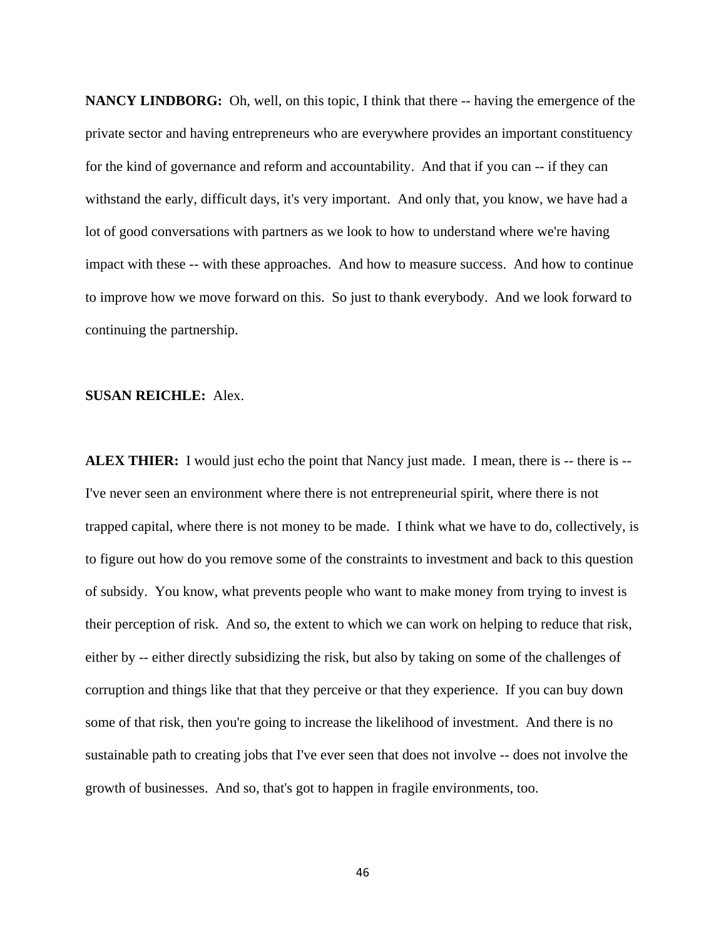**NANCY LINDBORG:** Oh, well, on this topic, I think that there -- having the emergence of the private sector and having entrepreneurs who are everywhere provides an important constituency for the kind of governance and reform and accountability. And that if you can -- if they can withstand the early, difficult days, it's very important. And only that, you know, we have had a lot of good conversations with partners as we look to how to understand where we're having impact with these -- with these approaches. And how to measure success. And how to continue to improve how we move forward on this. So just to thank everybody. And we look forward to continuing the partnership.

## **SUSAN REICHLE:** Alex.

**ALEX THIER:** I would just echo the point that Nancy just made. I mean, there is -- there is -- I've never seen an environment where there is not entrepreneurial spirit, where there is not trapped capital, where there is not money to be made. I think what we have to do, collectively, is to figure out how do you remove some of the constraints to investment and back to this question of subsidy. You know, what prevents people who want to make money from trying to invest is their perception of risk. And so, the extent to which we can work on helping to reduce that risk, either by -- either directly subsidizing the risk, but also by taking on some of the challenges of corruption and things like that that they perceive or that they experience. If you can buy down some of that risk, then you're going to increase the likelihood of investment. And there is no sustainable path to creating jobs that I've ever seen that does not involve -- does not involve the growth of businesses. And so, that's got to happen in fragile environments, too.